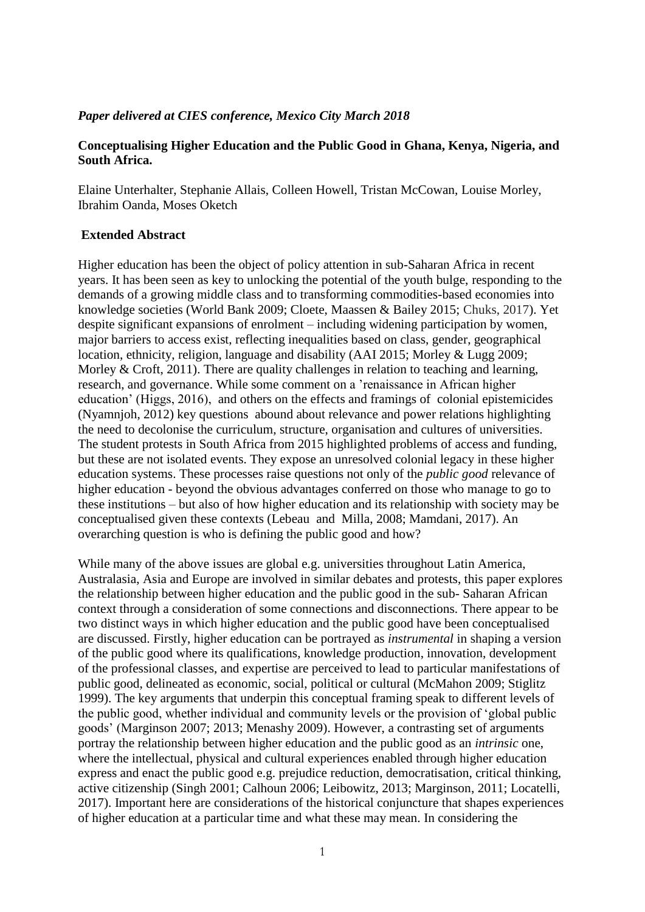## *Paper delivered at CIES conference, Mexico City March 2018*

# **Conceptualising Higher Education and the Public Good in Ghana, Kenya, Nigeria, and South Africa.**

Elaine Unterhalter, Stephanie Allais, Colleen Howell, Tristan McCowan, Louise Morley, Ibrahim Oanda, Moses Oketch

# **Extended Abstract**

Higher education has been the object of policy attention in sub-Saharan Africa in recent years. It has been seen as key to unlocking the potential of the youth bulge, responding to the demands of a growing middle class and to transforming commodities-based economies into knowledge societies (World Bank 2009; Cloete, Maassen & Bailey 2015; Chuks, 2017). Yet despite significant expansions of enrolment – including widening participation by women, major barriers to access exist, reflecting inequalities based on class, gender, geographical location, ethnicity, religion, language and disability (AAI 2015; Morley & Lugg 2009; Morley & Croft, 2011). There are quality challenges in relation to teaching and learning, research, and governance. While some comment on a 'renaissance in African higher education' (Higgs, 2016), and others on the effects and framings of colonial epistemicides (Nyamnjoh, 2012) key questions abound about relevance and power relations highlighting the need to decolonise the curriculum, structure, organisation and cultures of universities. The student protests in South Africa from 2015 highlighted problems of access and funding, but these are not isolated events. They expose an unresolved colonial legacy in these higher education systems. These processes raise questions not only of the *public good* relevance of higher education - beyond the obvious advantages conferred on those who manage to go to these institutions – but also of how higher education and its relationship with society may be conceptualised given these contexts (Lebeau and Milla, 2008; Mamdani, 2017). An overarching question is who is defining the public good and how?

While many of the above issues are global e.g. universities throughout Latin America, Australasia, Asia and Europe are involved in similar debates and protests, this paper explores the relationship between higher education and the public good in the sub- Saharan African context through a consideration of some connections and disconnections. There appear to be two distinct ways in which higher education and the public good have been conceptualised are discussed. Firstly, higher education can be portrayed as *instrumental* in shaping a version of the public good where its qualifications, knowledge production, innovation, development of the professional classes, and expertise are perceived to lead to particular manifestations of public good, delineated as economic, social, political or cultural (McMahon 2009; Stiglitz 1999). The key arguments that underpin this conceptual framing speak to different levels of the public good, whether individual and community levels or the provision of 'global public goods' (Marginson 2007; 2013; Menashy 2009). However, a contrasting set of arguments portray the relationship between higher education and the public good as an *intrinsic* one, where the intellectual, physical and cultural experiences enabled through higher education express and enact the public good e.g. prejudice reduction, democratisation, critical thinking, active citizenship (Singh 2001; Calhoun 2006; Leibowitz, 2013; Marginson, 2011; Locatelli, 2017). Important here are considerations of the historical conjuncture that shapes experiences of higher education at a particular time and what these may mean. In considering the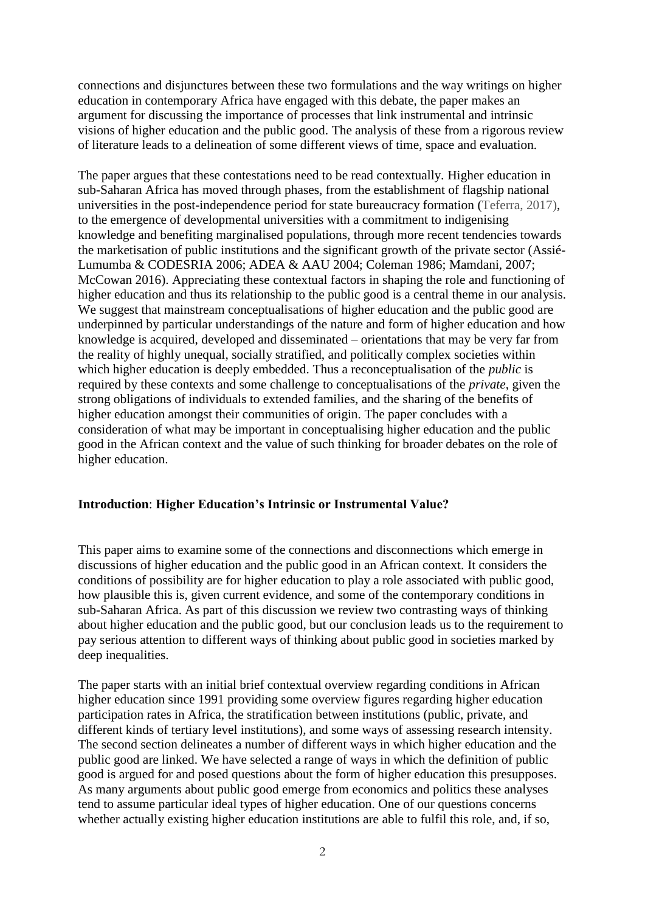connections and disjunctures between these two formulations and the way writings on higher education in contemporary Africa have engaged with this debate, the paper makes an argument for discussing the importance of processes that link instrumental and intrinsic visions of higher education and the public good. The analysis of these from a rigorous review of literature leads to a delineation of some different views of time, space and evaluation.

The paper argues that these contestations need to be read contextually. Higher education in sub-Saharan Africa has moved through phases, from the establishment of flagship national universities in the post-independence period for state bureaucracy formation (Teferra, 2017), to the emergence of developmental universities with a commitment to indigenising knowledge and benefiting marginalised populations, through more recent tendencies towards the marketisation of public institutions and the significant growth of the private sector (Assié-Lumumba & CODESRIA 2006; ADEA & AAU 2004; Coleman 1986; Mamdani, 2007; McCowan 2016). Appreciating these contextual factors in shaping the role and functioning of higher education and thus its relationship to the public good is a central theme in our analysis. We suggest that mainstream conceptualisations of higher education and the public good are underpinned by particular understandings of the nature and form of higher education and how knowledge is acquired, developed and disseminated – orientations that may be very far from the reality of highly unequal, socially stratified, and politically complex societies within which higher education is deeply embedded. Thus a reconceptualisation of the *public* is required by these contexts and some challenge to conceptualisations of the *private*, given the strong obligations of individuals to extended families, and the sharing of the benefits of higher education amongst their communities of origin. The paper concludes with a consideration of what may be important in conceptualising higher education and the public good in the African context and the value of such thinking for broader debates on the role of higher education.

### **Introduction**: **Higher Education's Intrinsic or Instrumental Value?**

This paper aims to examine some of the connections and disconnections which emerge in discussions of higher education and the public good in an African context. It considers the conditions of possibility are for higher education to play a role associated with public good, how plausible this is, given current evidence, and some of the contemporary conditions in sub-Saharan Africa. As part of this discussion we review two contrasting ways of thinking about higher education and the public good, but our conclusion leads us to the requirement to pay serious attention to different ways of thinking about public good in societies marked by deep inequalities.

The paper starts with an initial brief contextual overview regarding conditions in African higher education since 1991 providing some overview figures regarding higher education participation rates in Africa, the stratification between institutions (public, private, and different kinds of tertiary level institutions), and some ways of assessing research intensity. The second section delineates a number of different ways in which higher education and the public good are linked. We have selected a range of ways in which the definition of public good is argued for and posed questions about the form of higher education this presupposes. As many arguments about public good emerge from economics and politics these analyses tend to assume particular ideal types of higher education. One of our questions concerns whether actually existing higher education institutions are able to fulfil this role, and, if so,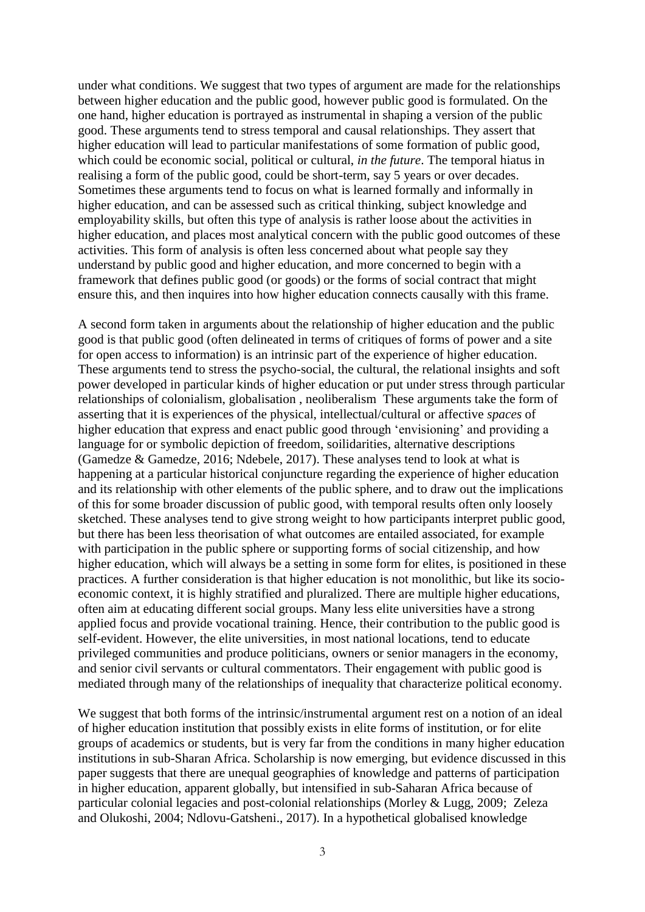under what conditions. We suggest that two types of argument are made for the relationships between higher education and the public good, however public good is formulated. On the one hand, higher education is portrayed as instrumental in shaping a version of the public good. These arguments tend to stress temporal and causal relationships. They assert that higher education will lead to particular manifestations of some formation of public good, which could be economic social, political or cultural, *in the future*. The temporal hiatus in realising a form of the public good, could be short-term, say 5 years or over decades. Sometimes these arguments tend to focus on what is learned formally and informally in higher education, and can be assessed such as critical thinking, subject knowledge and employability skills, but often this type of analysis is rather loose about the activities in higher education, and places most analytical concern with the public good outcomes of these activities. This form of analysis is often less concerned about what people say they understand by public good and higher education, and more concerned to begin with a framework that defines public good (or goods) or the forms of social contract that might ensure this, and then inquires into how higher education connects causally with this frame.

A second form taken in arguments about the relationship of higher education and the public good is that public good (often delineated in terms of critiques of forms of power and a site for open access to information) is an intrinsic part of the experience of higher education. These arguments tend to stress the psycho-social, the cultural, the relational insights and soft power developed in particular kinds of higher education or put under stress through particular relationships of colonialism, globalisation , neoliberalism These arguments take the form of asserting that it is experiences of the physical, intellectual/cultural or affective *spaces* of higher education that express and enact public good through 'envisioning' and providing a language for or symbolic depiction of freedom, soilidarities, alternative descriptions (Gamedze & Gamedze, 2016; Ndebele, 2017). These analyses tend to look at what is happening at a particular historical conjuncture regarding the experience of higher education and its relationship with other elements of the public sphere, and to draw out the implications of this for some broader discussion of public good, with temporal results often only loosely sketched. These analyses tend to give strong weight to how participants interpret public good, but there has been less theorisation of what outcomes are entailed associated, for example with participation in the public sphere or supporting forms of social citizenship, and how higher education, which will always be a setting in some form for elites, is positioned in these practices. A further consideration is that higher education is not monolithic, but like its socioeconomic context, it is highly stratified and pluralized. There are multiple higher educations, often aim at educating different social groups. Many less elite universities have a strong applied focus and provide vocational training. Hence, their contribution to the public good is self-evident. However, the elite universities, in most national locations, tend to educate privileged communities and produce politicians, owners or senior managers in the economy, and senior civil servants or cultural commentators. Their engagement with public good is mediated through many of the relationships of inequality that characterize political economy.

We suggest that both forms of the intrinsic/instrumental argument rest on a notion of an ideal of higher education institution that possibly exists in elite forms of institution, or for elite groups of academics or students, but is very far from the conditions in many higher education institutions in sub-Sharan Africa. Scholarship is now emerging, but evidence discussed in this paper suggests that there are unequal geographies of knowledge and patterns of participation in higher education, apparent globally, but intensified in sub-Saharan Africa because of particular colonial legacies and post-colonial relationships (Morley & Lugg, 2009; Zeleza and Olukoshi, 2004; Ndlovu-Gatsheni., 2017). In a hypothetical globalised knowledge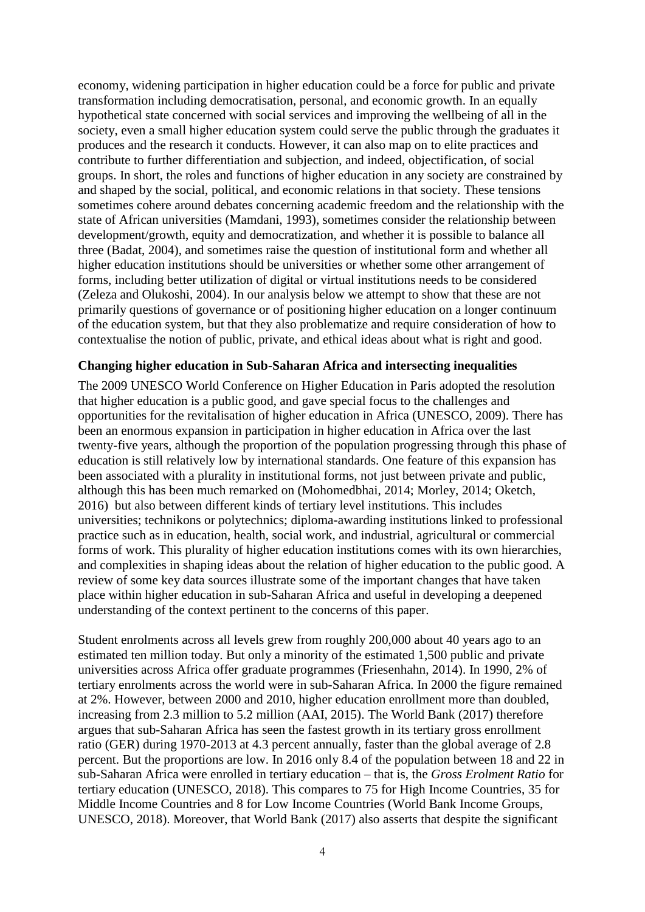economy, widening participation in higher education could be a force for public and private transformation including democratisation, personal, and economic growth. In an equally hypothetical state concerned with social services and improving the wellbeing of all in the society, even a small higher education system could serve the public through the graduates it produces and the research it conducts. However, it can also map on to elite practices and contribute to further differentiation and subjection, and indeed, objectification, of social groups. In short, the roles and functions of higher education in any society are constrained by and shaped by the social, political, and economic relations in that society. These tensions sometimes cohere around debates concerning academic freedom and the relationship with the state of African universities (Mamdani, 1993), sometimes consider the relationship between development/growth, equity and democratization, and whether it is possible to balance all three (Badat, 2004), and sometimes raise the question of institutional form and whether all higher education institutions should be universities or whether some other arrangement of forms, including better utilization of digital or virtual institutions needs to be considered (Zeleza and Olukoshi, 2004). In our analysis below we attempt to show that these are not primarily questions of governance or of positioning higher education on a longer continuum of the education system, but that they also problematize and require consideration of how to contextualise the notion of public, private, and ethical ideas about what is right and good.

#### **Changing higher education in Sub-Saharan Africa and intersecting inequalities**

The 2009 UNESCO World Conference on Higher Education in Paris adopted the resolution that higher education is a public good, and gave special focus to the challenges and opportunities for the revitalisation of higher education in Africa (UNESCO, 2009). There has been an enormous expansion in participation in higher education in Africa over the last twenty-five years, although the proportion of the population progressing through this phase of education is still relatively low by international standards. One feature of this expansion has been associated with a plurality in institutional forms, not just between private and public, although this has been much remarked on (Mohomedbhai, 2014; Morley, 2014; Oketch, 2016) but also between different kinds of tertiary level institutions. This includes universities; technikons or polytechnics; diploma-awarding institutions linked to professional practice such as in education, health, social work, and industrial, agricultural or commercial forms of work. This plurality of higher education institutions comes with its own hierarchies, and complexities in shaping ideas about the relation of higher education to the public good. A review of some key data sources illustrate some of the important changes that have taken place within higher education in sub-Saharan Africa and useful in developing a deepened understanding of the context pertinent to the concerns of this paper.

Student enrolments across all levels grew from roughly 200,000 about 40 years ago to an estimated ten million today. But only a minority of the estimated 1,500 public and private universities across Africa offer graduate programmes (Friesenhahn, 2014). In 1990, 2% of tertiary enrolments across the world were in sub-Saharan Africa. In 2000 the figure remained at 2%. However, between 2000 and 2010, higher education enrollment more than doubled, increasing from 2.3 million to 5.2 million (AAI, 2015). The World Bank (2017) therefore argues that sub-Saharan Africa has seen the fastest growth in its tertiary gross enrollment ratio (GER) during 1970-2013 at 4.3 percent annually, faster than the global average of 2.8 percent. But the proportions are low. In 2016 only 8.4 of the population between 18 and 22 in sub-Saharan Africa were enrolled in tertiary education – that is, the *Gross Erolment Ratio* for tertiary education (UNESCO, 2018). This compares to 75 for High Income Countries, 35 for Middle Income Countries and 8 for Low Income Countries (World Bank Income Groups, UNESCO, 2018). Moreover, that World Bank (2017) also asserts that despite the significant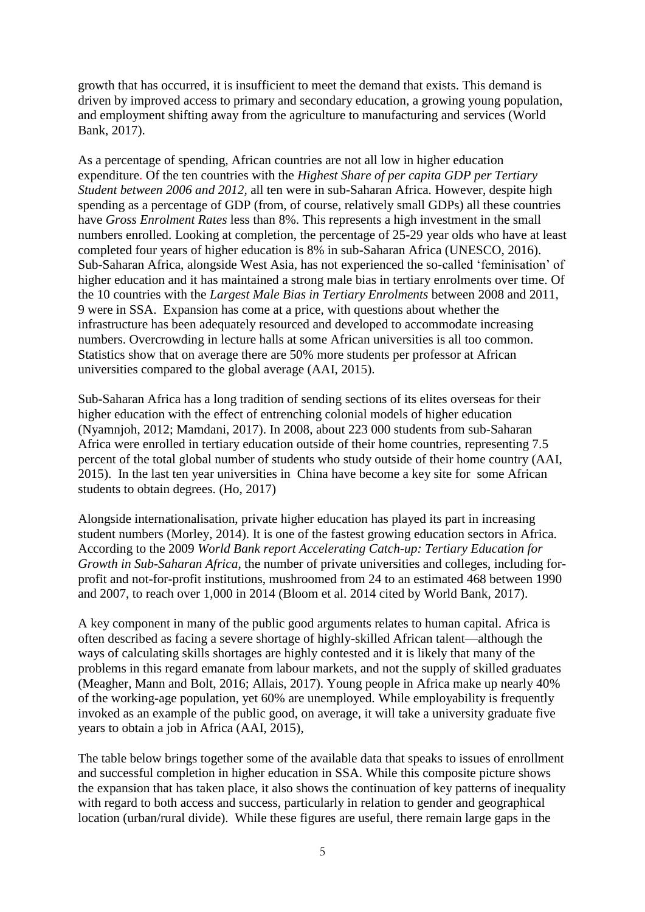growth that has occurred, it is insufficient to meet the demand that exists. This demand is driven by improved access to primary and secondary education, a growing young population, and employment shifting away from the agriculture to manufacturing and services (World Bank, 2017).

As a percentage of spending, African countries are not all low in higher education expenditure. Of the ten countries with the *Highest Share of per capita GDP per Tertiary Student between 2006 and 2012,* all ten were in sub-Saharan Africa. However, despite high spending as a percentage of GDP (from, of course, relatively small GDPs) all these countries have *Gross Enrolment Rates* less than 8%. This represents a high investment in the small numbers enrolled. Looking at completion, the percentage of 25-29 year olds who have at least completed four years of higher education is 8% in sub-Saharan Africa (UNESCO, 2016). Sub-Saharan Africa, alongside West Asia, has not experienced the so-called 'feminisation' of higher education and it has maintained a strong male bias in tertiary enrolments over time. Of the 10 countries with the *Largest Male Bias in Tertiary Enrolments* between 2008 and 2011, 9 were in SSA. Expansion has come at a price, with questions about whether the infrastructure has been adequately resourced and developed to accommodate increasing numbers. Overcrowding in lecture halls at some African universities is all too common. Statistics show that on average there are 50% more students per professor at African universities compared to the global average (AAI, 2015).

Sub-Saharan Africa has a long tradition of sending sections of its elites overseas for their higher education with the effect of entrenching colonial models of higher education (Nyamnjoh, 2012; Mamdani, 2017). In 2008, about 223 000 students from sub-Saharan Africa were enrolled in tertiary education outside of their home countries, representing 7.5 percent of the total global number of students who study outside of their home country (AAI, 2015). In the last ten year universities in China have become a key site for some African students to obtain degrees. (Ho, 2017)

Alongside internationalisation, private higher education has played its part in increasing student numbers (Morley, 2014). It is one of the fastest growing education sectors in Africa. According to the 2009 *World Bank report Accelerating Catch-up: Tertiary Education for Growth in Sub-Saharan Africa*, the number of private universities and colleges, including forprofit and not-for-profit institutions, mushroomed from 24 to an estimated 468 between 1990 and 2007, to reach over 1,000 in 2014 (Bloom et al. 2014 cited by World Bank, 2017).

A key component in many of the public good arguments relates to human capital. Africa is often described as facing a severe shortage of highly-skilled African talent—although the ways of calculating skills shortages are highly contested and it is likely that many of the problems in this regard emanate from labour markets, and not the supply of skilled graduates (Meagher, Mann and Bolt, 2016; Allais, 2017). Young people in Africa make up nearly 40% of the working-age population, yet 60% are unemployed. While employability is frequently invoked as an example of the public good, on average, it will take a university graduate five years to obtain a job in Africa (AAI, 2015),

The table below brings together some of the available data that speaks to issues of enrollment and successful completion in higher education in SSA. While this composite picture shows the expansion that has taken place, it also shows the continuation of key patterns of inequality with regard to both access and success, particularly in relation to gender and geographical location (urban/rural divide). While these figures are useful, there remain large gaps in the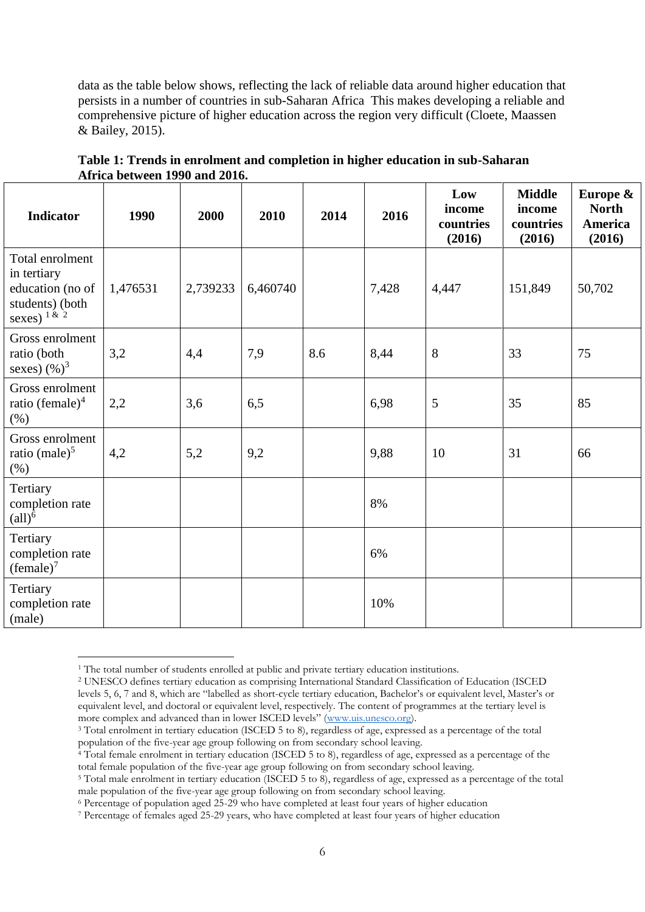data as the table below shows, reflecting the lack of reliable data around higher education that persists in a number of countries in sub-Saharan Africa This makes developing a reliable and comprehensive picture of higher education across the region very difficult (Cloete, Maassen & Bailey, 2015).

| <b>Indicator</b>                                                                         | 1990     | 2000     | 2010     | 2014 | 2016  | Low<br>income<br>countries<br>(2016) | <b>Middle</b><br>income<br>countries<br>(2016) | Europe &<br><b>North</b><br>America<br>(2016) |
|------------------------------------------------------------------------------------------|----------|----------|----------|------|-------|--------------------------------------|------------------------------------------------|-----------------------------------------------|
| Total enrolment<br>in tertiary<br>education (no of<br>students) (both<br>sexes) $1 \& 2$ | 1,476531 | 2,739233 | 6,460740 |      | 7,428 | 4,447                                | 151,849                                        | 50,702                                        |
| Gross enrolment<br>ratio (both<br>sexes) $(\%)^3$                                        | 3,2      | 4,4      | 7,9      | 8.6  | 8,44  | 8                                    | 33                                             | 75                                            |
| Gross enrolment<br>ratio (female) $4$<br>(%)                                             | 2,2      | 3,6      | 6,5      |      | 6,98  | 5                                    | 35                                             | 85                                            |
| Gross enrolment<br>ratio (male) $5$<br>$(\%)$                                            | 4,2      | 5,2      | 9,2      |      | 9,88  | 10                                   | 31                                             | 66                                            |
| Tertiary<br>completion rate<br>$\text{(all)}^6$                                          |          |          |          |      | 8%    |                                      |                                                |                                               |
| Tertiary<br>completion rate<br>(female) <sup>7</sup>                                     |          |          |          |      | 6%    |                                      |                                                |                                               |
| Tertiary<br>completion rate<br>(male)                                                    |          |          |          |      | 10%   |                                      |                                                |                                               |

**Table 1: Trends in enrolment and completion in higher education in sub-Saharan Africa between 1990 and 2016.**

<u>.</u>

<sup>&</sup>lt;sup>1</sup> The total number of students enrolled at public and private tertiary education institutions.

<sup>2</sup> UNESCO defines tertiary education as comprising International Standard Classification of Education (ISCED levels 5, 6, 7 and 8, which are "labelled as short-cycle tertiary education, Bachelor's or equivalent level, Master's or equivalent level, and doctoral or equivalent level, respectively. The content of programmes at the tertiary level is more complex and advanced than in lower ISCED levels" ([www.uis.unesco.org\)](http://www.uis.unesco.org/).

<sup>3</sup> Total enrolment in tertiary education (ISCED 5 to 8), regardless of age, expressed as a percentage of the total population of the five-year age group following on from secondary school leaving.

<sup>&</sup>lt;sup>4</sup> Total female enrolment in tertiary education (ISCED 5 to 8), regardless of age, expressed as a percentage of the total female population of the five-year age group following on from secondary school leaving.

<sup>5</sup> Total male enrolment in tertiary education (ISCED 5 to 8), regardless of age, expressed as a percentage of the total male population of the five-year age group following on from secondary school leaving.

<sup>6</sup> Percentage of population aged 25-29 who have completed at least four years of higher education

<sup>7</sup> Percentage of females aged 25-29 years, who have completed at least four years of higher education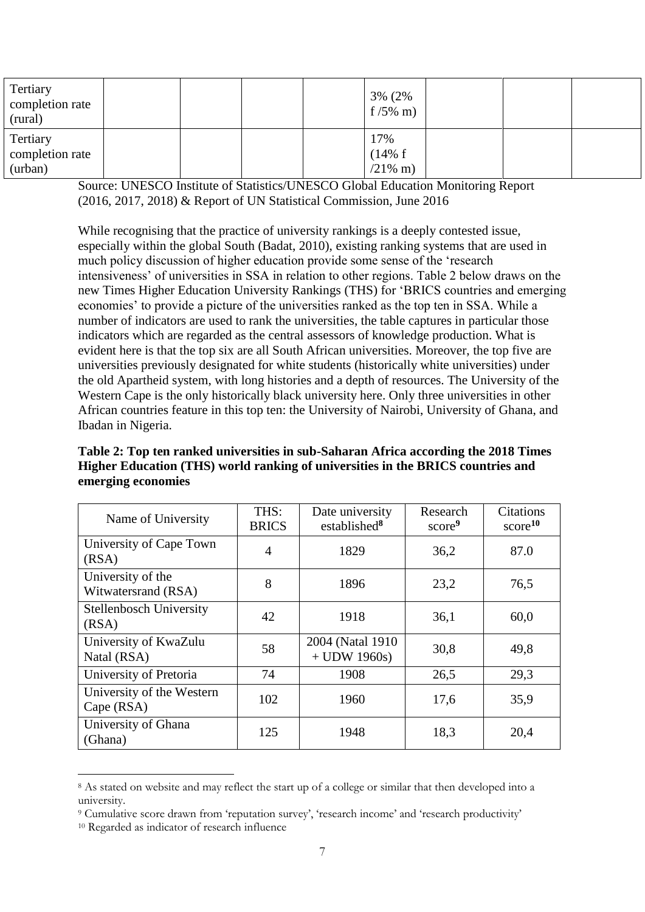| Tertiary<br>completion rate<br>(rural) |  |  | 3% (2%)<br>$f/5\%$ m)        |  |  |
|----------------------------------------|--|--|------------------------------|--|--|
| Tertiary<br>completion rate<br>(urban) |  |  | 17%<br>(14% f)<br>$/21\%$ m) |  |  |

Source: UNESCO Institute of Statistics/UNESCO Global Education Monitoring Report (2016, 2017, 2018) & Report of UN Statistical Commission, June 2016

While recognising that the practice of university rankings is a deeply contested issue, especially within the global South (Badat, 2010), existing ranking systems that are used in much policy discussion of higher education provide some sense of the 'research intensiveness' of universities in SSA in relation to other regions. Table 2 below draws on the new Times Higher Education University Rankings (THS) for 'BRICS countries and emerging economies' to provide a picture of the universities ranked as the top ten in SSA. While a number of indicators are used to rank the universities, the table captures in particular those indicators which are regarded as the central assessors of knowledge production. What is evident here is that the top six are all South African universities. Moreover, the top five are universities previously designated for white students (historically white universities) under the old Apartheid system, with long histories and a depth of resources. The University of the Western Cape is the only historically black university here. Only three universities in other African countries feature in this top ten: the University of Nairobi, University of Ghana, and Ibadan in Nigeria.

**Table 2: Top ten ranked universities in sub-Saharan Africa according the 2018 Times Higher Education (THS) world ranking of universities in the BRICS countries and emerging economies**

| Name of University                       | THS:<br><b>BRICS</b> | Date university<br>established $8$  | Research<br>score <sup>9</sup> | Citations<br>score <sup>10</sup> |
|------------------------------------------|----------------------|-------------------------------------|--------------------------------|----------------------------------|
| University of Cape Town<br>(RSA)         | $\overline{4}$       | 1829                                | 36,2                           | 87.0                             |
| University of the<br>Witwatersrand (RSA) | 8                    | 1896                                | 23,2                           | 76,5                             |
| <b>Stellenbosch University</b><br>(RSA)  | 42                   | 1918                                | 36,1                           | 60,0                             |
| University of KwaZulu<br>Natal (RSA)     | 58                   | 2004 (Natal 1910)<br>$+$ UDW 1960s) | 30,8                           | 49,8                             |
| University of Pretoria                   | 74                   | 1908                                | 26,5                           | 29,3                             |
| University of the Western<br>Cape (RSA)  | 102                  | 1960                                | 17,6                           | 35,9                             |
| University of Ghana<br>(Ghana)           | 125                  | 1948                                | 18,3                           | 20,4                             |

<sup>8</sup> As stated on website and may reflect the start up of a college or similar that then developed into a university.

<u>.</u>

<sup>9</sup> Cumulative score drawn from 'reputation survey', 'research income' and 'research productivity'

<sup>10</sup> Regarded as indicator of research influence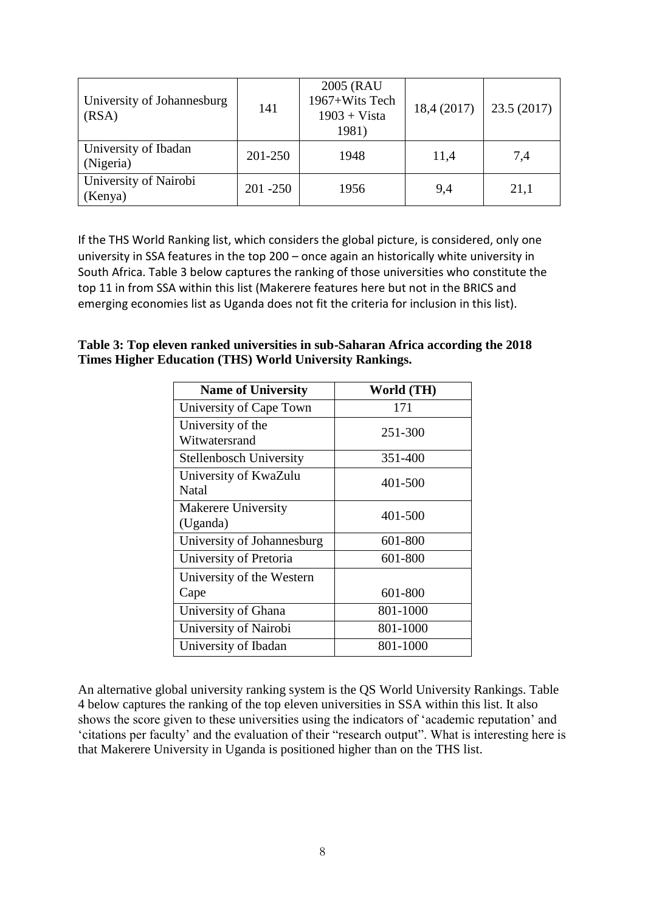| University of Johannesburg<br>(RSA) | 141         | 2005 (RAU<br>1967+Wits Tech<br>$1903 + Vista$<br>1981) | 18,4(2017) | 23.5(2017) |
|-------------------------------------|-------------|--------------------------------------------------------|------------|------------|
| University of Ibadan<br>(Nigeria)   | 201-250     | 1948                                                   | 11,4       | 7,4        |
| University of Nairobi<br>(Kenya)    | $201 - 250$ | 1956                                                   | 9,4        | 21,1       |

If the THS World Ranking list, which considers the global picture, is considered, only one university in SSA features in the top 200 – once again an historically white university in South Africa. Table 3 below captures the ranking of those universities who constitute the top 11 in from SSA within this list (Makerere features here but not in the BRICS and emerging economies list as Uganda does not fit the criteria for inclusion in this list).

| Table 3: Top eleven ranked universities in sub-Saharan Africa according the 2018 |  |
|----------------------------------------------------------------------------------|--|
| Times Higher Education (THS) World University Rankings.                          |  |

| <b>Name of University</b>          | World (TH) |  |  |  |
|------------------------------------|------------|--|--|--|
| University of Cape Town            | 171        |  |  |  |
| University of the<br>Witwatersrand | 251-300    |  |  |  |
| <b>Stellenbosch University</b>     | 351-400    |  |  |  |
| University of KwaZulu<br>Natal     | 401-500    |  |  |  |
| Makerere University<br>(Uganda)    | 401-500    |  |  |  |
| University of Johannesburg         | 601-800    |  |  |  |
| University of Pretoria             | 601-800    |  |  |  |
| University of the Western<br>Cape  | 601-800    |  |  |  |
| University of Ghana                | 801-1000   |  |  |  |
| University of Nairobi              | 801-1000   |  |  |  |
| University of Ibadan               | 801-1000   |  |  |  |

An alternative global university ranking system is the QS World University Rankings. Table 4 below captures the ranking of the top eleven universities in SSA within this list. It also shows the score given to these universities using the indicators of 'academic reputation' and 'citations per faculty' and the evaluation of their "research output". What is interesting here is that Makerere University in Uganda is positioned higher than on the THS list.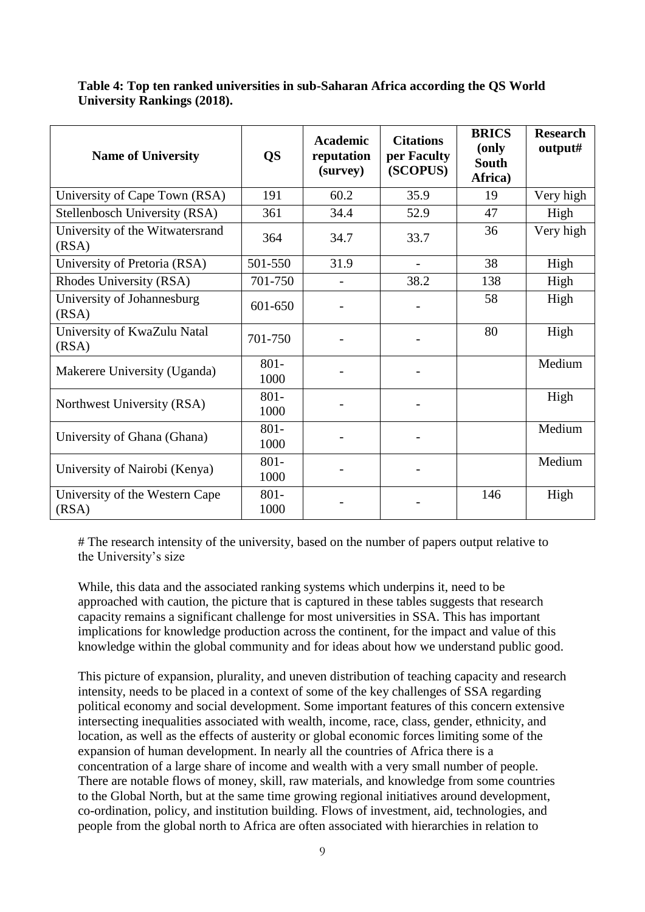| <b>Name of University</b>                | <b>QS</b>       | <b>Academic</b><br>reputation<br>(survey) | <b>Citations</b><br>per Faculty<br>(SCOPUS) | <b>BRICS</b><br>(only<br><b>South</b><br>Africa) | <b>Research</b><br>output# |
|------------------------------------------|-----------------|-------------------------------------------|---------------------------------------------|--------------------------------------------------|----------------------------|
| University of Cape Town (RSA)            | 191             | 60.2                                      | 35.9                                        | 19                                               | Very high                  |
| Stellenbosch University (RSA)            | 361             | 34.4                                      | 52.9                                        | 47                                               | High                       |
| University of the Witwatersrand<br>(RSA) | 364             | 34.7                                      | 33.7                                        | 36                                               | Very high                  |
| University of Pretoria (RSA)             | 501-550         | 31.9                                      | $\overline{\phantom{a}}$                    | 38                                               | High                       |
| Rhodes University (RSA)                  | 701-750         |                                           | 38.2                                        | 138                                              | High                       |
| University of Johannesburg<br>(RSA)      | 601-650         |                                           |                                             | 58                                               | High                       |
| University of KwaZulu Natal<br>(RSA)     | 701-750         |                                           |                                             | 80                                               | High                       |
| Makerere University (Uganda)             | $801 -$<br>1000 |                                           |                                             |                                                  | Medium                     |
| Northwest University (RSA)               | $801 -$<br>1000 |                                           |                                             |                                                  | High                       |
| University of Ghana (Ghana)              | $801 -$<br>1000 |                                           | $\overline{\phantom{a}}$                    |                                                  | Medium                     |
| University of Nairobi (Kenya)            | $801 -$<br>1000 |                                           | $\qquad \qquad \blacksquare$                |                                                  | Medium                     |
| University of the Western Cape<br>(RSA)  | $801 -$<br>1000 |                                           |                                             | 146                                              | High                       |

**Table 4: Top ten ranked universities in sub-Saharan Africa according the QS World University Rankings (2018).**

# The research intensity of the university, based on the number of papers output relative to the University's size

While, this data and the associated ranking systems which underpins it, need to be approached with caution, the picture that is captured in these tables suggests that research capacity remains a significant challenge for most universities in SSA. This has important implications for knowledge production across the continent, for the impact and value of this knowledge within the global community and for ideas about how we understand public good.

This picture of expansion, plurality, and uneven distribution of teaching capacity and research intensity, needs to be placed in a context of some of the key challenges of SSA regarding political economy and social development. Some important features of this concern extensive intersecting inequalities associated with wealth, income, race, class, gender, ethnicity, and location, as well as the effects of austerity or global economic forces limiting some of the expansion of human development. In nearly all the countries of Africa there is a concentration of a large share of income and wealth with a very small number of people. There are notable flows of money, skill, raw materials, and knowledge from some countries to the Global North, but at the same time growing regional initiatives around development, co-ordination, policy, and institution building. Flows of investment, aid, technologies, and people from the global north to Africa are often associated with hierarchies in relation to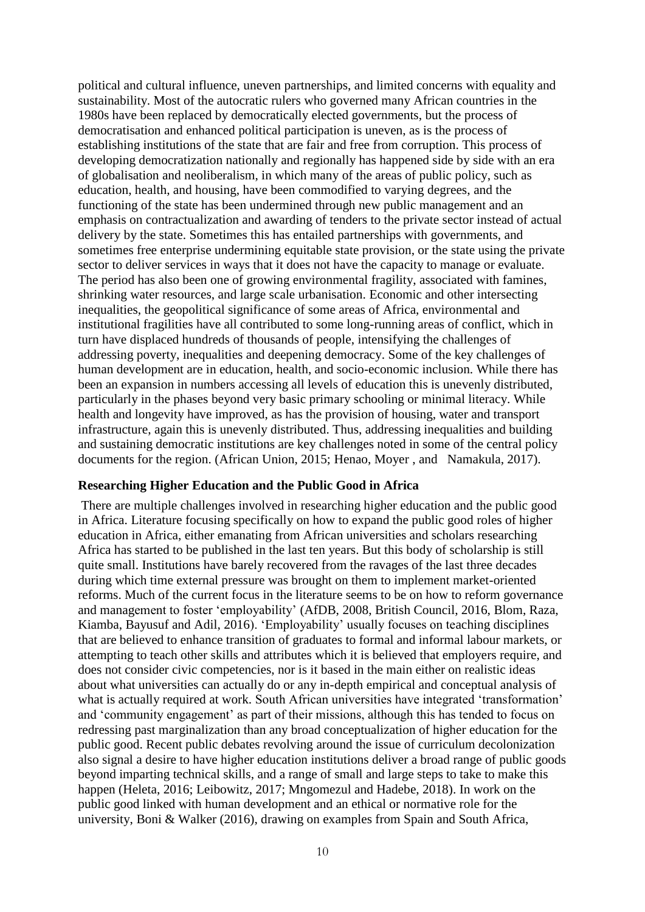political and cultural influence, uneven partnerships, and limited concerns with equality and sustainability. Most of the autocratic rulers who governed many African countries in the 1980s have been replaced by democratically elected governments, but the process of democratisation and enhanced political participation is uneven, as is the process of establishing institutions of the state that are fair and free from corruption. This process of developing democratization nationally and regionally has happened side by side with an era of globalisation and neoliberalism, in which many of the areas of public policy, such as education, health, and housing, have been commodified to varying degrees, and the functioning of the state has been undermined through new public management and an emphasis on contractualization and awarding of tenders to the private sector instead of actual delivery by the state. Sometimes this has entailed partnerships with governments, and sometimes free enterprise undermining equitable state provision, or the state using the private sector to deliver services in ways that it does not have the capacity to manage or evaluate. The period has also been one of growing environmental fragility, associated with famines, shrinking water resources, and large scale urbanisation. Economic and other intersecting inequalities, the geopolitical significance of some areas of Africa, environmental and institutional fragilities have all contributed to some long-running areas of conflict, which in turn have displaced hundreds of thousands of people, intensifying the challenges of addressing poverty, inequalities and deepening democracy. Some of the key challenges of human development are in education, health, and socio-economic inclusion. While there has been an expansion in numbers accessing all levels of education this is unevenly distributed, particularly in the phases beyond very basic primary schooling or minimal literacy. While health and longevity have improved, as has the provision of housing, water and transport infrastructure, again this is unevenly distributed. Thus, addressing inequalities and building and sustaining democratic institutions are key challenges noted in some of the central policy documents for the region. (African Union, 2015; Henao, Moyer , and Namakula, 2017).

#### **Researching Higher Education and the Public Good in Africa**

There are multiple challenges involved in researching higher education and the public good in Africa. Literature focusing specifically on how to expand the public good roles of higher education in Africa, either emanating from African universities and scholars researching Africa has started to be published in the last ten years. But this body of scholarship is still quite small. Institutions have barely recovered from the ravages of the last three decades during which time external pressure was brought on them to implement market-oriented reforms. Much of the current focus in the literature seems to be on how to reform governance and management to foster 'employability' (AfDB, 2008, British Council, 2016, Blom, Raza, Kiamba, Bayusuf and Adil, 2016). 'Employability' usually focuses on teaching disciplines that are believed to enhance transition of graduates to formal and informal labour markets, or attempting to teach other skills and attributes which it is believed that employers require, and does not consider civic competencies, nor is it based in the main either on realistic ideas about what universities can actually do or any in-depth empirical and conceptual analysis of what is actually required at work. South African universities have integrated 'transformation' and 'community engagement' as part of their missions, although this has tended to focus on redressing past marginalization than any broad conceptualization of higher education for the public good. Recent public debates revolving around the issue of curriculum decolonization also signal a desire to have higher education institutions deliver a broad range of public goods beyond imparting technical skills, and a range of small and large steps to take to make this happen (Heleta, 2016; Leibowitz, 2017; Mngomezul and Hadebe, 2018). In work on the public good linked with human development and an ethical or normative role for the university, Boni & Walker (2016), drawing on examples from Spain and South Africa,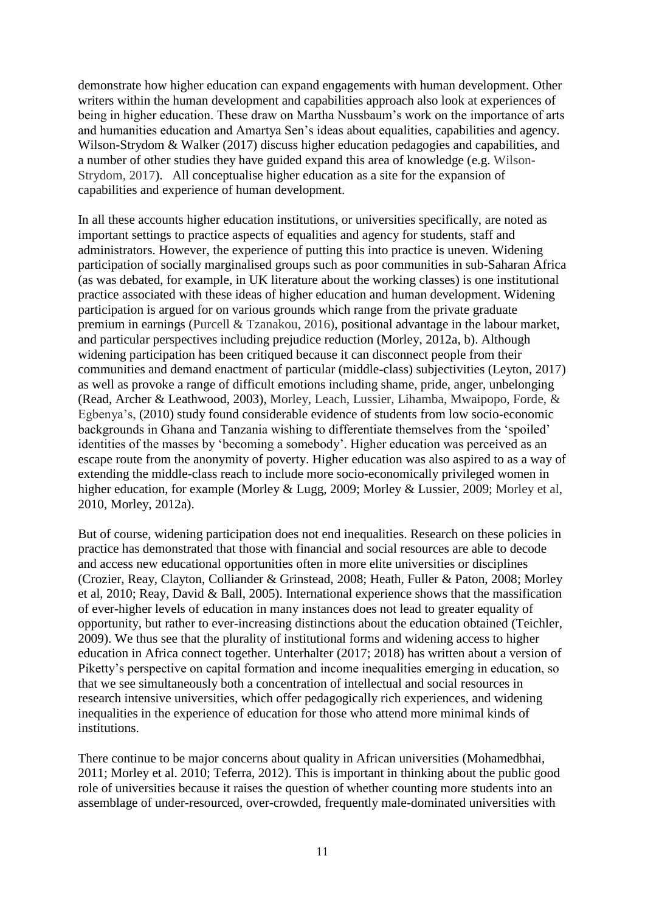demonstrate how higher education can expand engagements with human development. Other writers within the human development and capabilities approach also look at experiences of being in higher education. These draw on Martha Nussbaum's work on the importance of arts and humanities education and Amartya Sen's ideas about equalities, capabilities and agency. Wilson-Strydom & Walker (2017) discuss higher education pedagogies and capabilities, and a number of other studies they have guided expand this area of knowledge (e.g. Wilson-Strydom, 2017). All conceptualise higher education as a site for the expansion of capabilities and experience of human development.

In all these accounts higher education institutions, or universities specifically, are noted as important settings to practice aspects of equalities and agency for students, staff and administrators. However, the experience of putting this into practice is uneven. Widening participation of socially marginalised groups such as poor communities in sub-Saharan Africa (as was debated, for example, in UK literature about the working classes) is one institutional practice associated with these ideas of higher education and human development. Widening participation is argued for on various grounds which range from the private graduate premium in earnings (Purcell & Tzanakou, 2016), positional advantage in the labour market, and particular perspectives including prejudice reduction (Morley, 2012a, b). Although widening participation has been critiqued because it can disconnect people from their communities and demand enactment of particular (middle-class) subjectivities (Leyton, 2017) as well as provoke a range of difficult emotions including shame, pride, anger, unbelonging (Read, Archer & Leathwood, 2003), Morley, Leach, Lussier, Lihamba, Mwaipopo, Forde, & Egbenya's, (2010) study found considerable evidence of students from low socio-economic backgrounds in Ghana and Tanzania wishing to differentiate themselves from the 'spoiled' identities of the masses by 'becoming a somebody'. Higher education was perceived as an escape route from the anonymity of poverty. Higher education was also aspired to as a way of extending the middle-class reach to include more socio-economically privileged women in higher education, for example (Morley & Lugg, 2009; Morley & Lussier, 2009; Morley et al, 2010, Morley, 2012a).

But of course, widening participation does not end inequalities. Research on these policies in practice has demonstrated that those with financial and social resources are able to decode and access new educational opportunities often in more elite universities or disciplines (Crozier, Reay, Clayton, Colliander & Grinstead, 2008; Heath, Fuller & Paton, 2008; Morley et al, 2010; Reay, David & Ball, 2005). International experience shows that the massification of ever-higher levels of education in many instances does not lead to greater equality of opportunity, but rather to ever-increasing distinctions about the education obtained (Teichler, 2009). We thus see that the plurality of institutional forms and widening access to higher education in Africa connect together. Unterhalter (2017; 2018) has written about a version of Piketty's perspective on capital formation and income inequalities emerging in education, so that we see simultaneously both a concentration of intellectual and social resources in research intensive universities, which offer pedagogically rich experiences, and widening inequalities in the experience of education for those who attend more minimal kinds of institutions.

There continue to be major concerns about quality in African universities (Mohamedbhai, 2011; Morley et al. 2010; Teferra, 2012). This is important in thinking about the public good role of universities because it raises the question of whether counting more students into an assemblage of under-resourced, over-crowded, frequently male-dominated universities with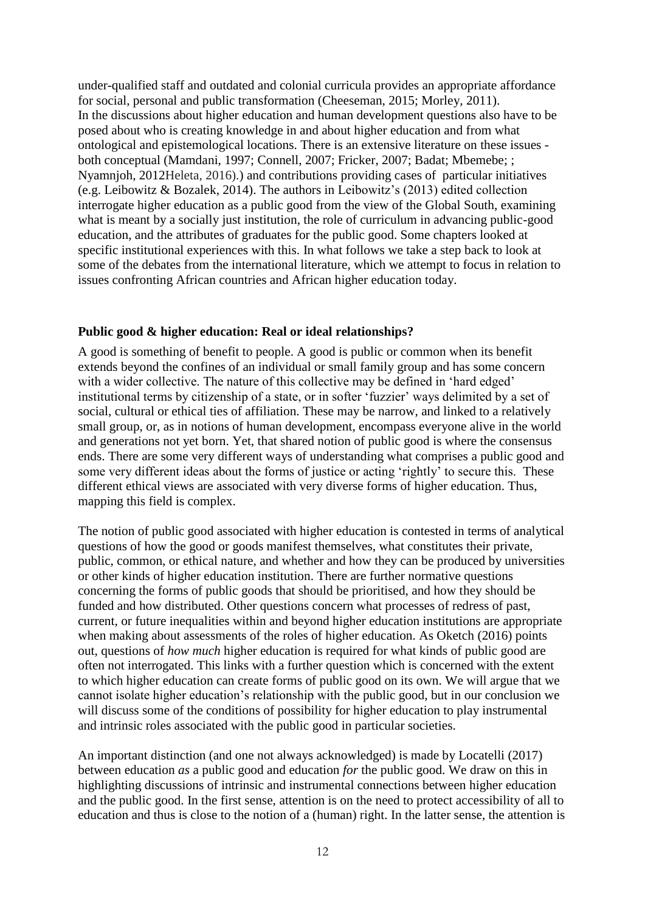under-qualified staff and outdated and colonial curricula provides an appropriate affordance for social, personal and public transformation (Cheeseman, 2015; Morley, 2011). In the discussions about higher education and human development questions also have to be posed about who is creating knowledge in and about higher education and from what ontological and epistemological locations. There is an extensive literature on these issues both conceptual (Mamdani, 1997; Connell, 2007; Fricker, 2007; Badat; Mbemebe; ; Nyamnjoh, 2012Heleta, 2016).) and contributions providing cases of particular initiatives (e.g. Leibowitz & Bozalek, 2014). The authors in Leibowitz's (2013) edited collection interrogate higher education as a public good from the view of the Global South, examining what is meant by a socially just institution, the role of curriculum in advancing public-good education, and the attributes of graduates for the public good. Some chapters looked at specific institutional experiences with this. In what follows we take a step back to look at some of the debates from the international literature, which we attempt to focus in relation to issues confronting African countries and African higher education today.

### **Public good & higher education: Real or ideal relationships?**

A good is something of benefit to people. A good is public or common when its benefit extends beyond the confines of an individual or small family group and has some concern with a wider collective. The nature of this collective may be defined in 'hard edged' institutional terms by citizenship of a state, or in softer 'fuzzier' ways delimited by a set of social, cultural or ethical ties of affiliation. These may be narrow, and linked to a relatively small group, or, as in notions of human development, encompass everyone alive in the world and generations not yet born. Yet, that shared notion of public good is where the consensus ends. There are some very different ways of understanding what comprises a public good and some very different ideas about the forms of justice or acting 'rightly' to secure this. These different ethical views are associated with very diverse forms of higher education. Thus, mapping this field is complex.

The notion of public good associated with higher education is contested in terms of analytical questions of how the good or goods manifest themselves, what constitutes their private, public, common, or ethical nature, and whether and how they can be produced by universities or other kinds of higher education institution. There are further normative questions concerning the forms of public goods that should be prioritised, and how they should be funded and how distributed. Other questions concern what processes of redress of past, current, or future inequalities within and beyond higher education institutions are appropriate when making about assessments of the roles of higher education. As Oketch (2016) points out, questions of *how much* higher education is required for what kinds of public good are often not interrogated. This links with a further question which is concerned with the extent to which higher education can create forms of public good on its own. We will argue that we cannot isolate higher education's relationship with the public good, but in our conclusion we will discuss some of the conditions of possibility for higher education to play instrumental and intrinsic roles associated with the public good in particular societies.

An important distinction (and one not always acknowledged) is made by Locatelli (2017) between education *as* a public good and education *for* the public good. We draw on this in highlighting discussions of intrinsic and instrumental connections between higher education and the public good. In the first sense, attention is on the need to protect accessibility of all to education and thus is close to the notion of a (human) right. In the latter sense, the attention is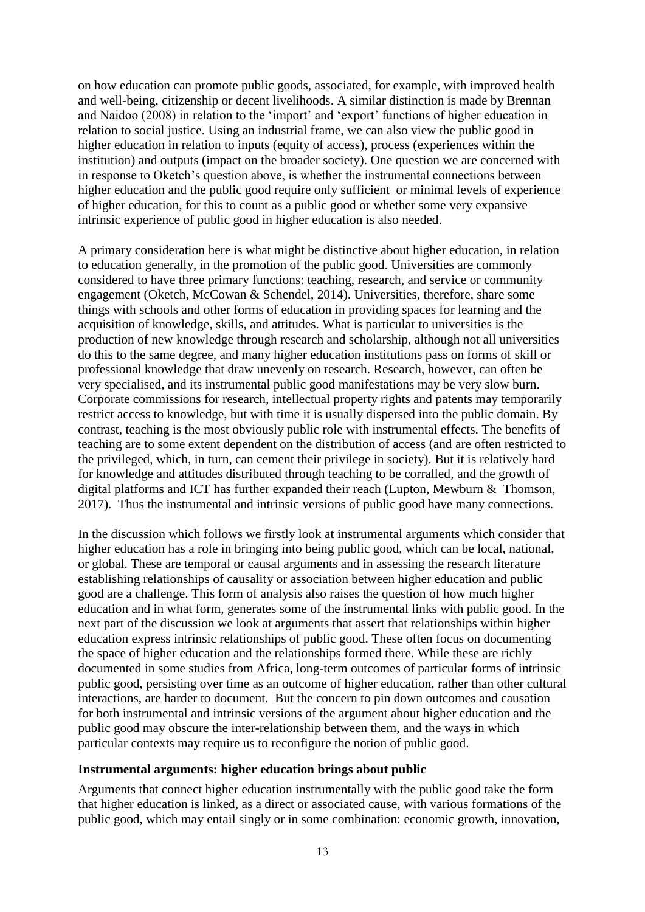on how education can promote public goods, associated, for example, with improved health and well-being, citizenship or decent livelihoods. A similar distinction is made by Brennan and Naidoo (2008) in relation to the 'import' and 'export' functions of higher education in relation to social justice. Using an industrial frame, we can also view the public good in higher education in relation to inputs (equity of access), process (experiences within the institution) and outputs (impact on the broader society). One question we are concerned with in response to Oketch's question above, is whether the instrumental connections between higher education and the public good require only sufficient or minimal levels of experience of higher education, for this to count as a public good or whether some very expansive intrinsic experience of public good in higher education is also needed.

A primary consideration here is what might be distinctive about higher education, in relation to education generally, in the promotion of the public good. Universities are commonly considered to have three primary functions: teaching, research, and service or community engagement (Oketch, McCowan & Schendel, 2014). Universities, therefore, share some things with schools and other forms of education in providing spaces for learning and the acquisition of knowledge, skills, and attitudes. What is particular to universities is the production of new knowledge through research and scholarship, although not all universities do this to the same degree, and many higher education institutions pass on forms of skill or professional knowledge that draw unevenly on research. Research, however, can often be very specialised, and its instrumental public good manifestations may be very slow burn. Corporate commissions for research, intellectual property rights and patents may temporarily restrict access to knowledge, but with time it is usually dispersed into the public domain. By contrast, teaching is the most obviously public role with instrumental effects. The benefits of teaching are to some extent dependent on the distribution of access (and are often restricted to the privileged, which, in turn, can cement their privilege in society). But it is relatively hard for knowledge and attitudes distributed through teaching to be corralled, and the growth of digital platforms and ICT has further expanded their reach (Lupton, [Mewburn](https://www.amazon.co.uk/Inger-Mewburn/e/B00IZH5J24/ref=dp_byline_cont_book_2) & [Thomson,](https://www.amazon.co.uk/Pat-Thomson/e/B001IXNYV0/ref=dp_byline_cont_book_3) 2017). Thus the instrumental and intrinsic versions of public good have many connections.

In the discussion which follows we firstly look at instrumental arguments which consider that higher education has a role in bringing into being public good, which can be local, national, or global. These are temporal or causal arguments and in assessing the research literature establishing relationships of causality or association between higher education and public good are a challenge. This form of analysis also raises the question of how much higher education and in what form, generates some of the instrumental links with public good. In the next part of the discussion we look at arguments that assert that relationships within higher education express intrinsic relationships of public good. These often focus on documenting the space of higher education and the relationships formed there. While these are richly documented in some studies from Africa, long-term outcomes of particular forms of intrinsic public good, persisting over time as an outcome of higher education, rather than other cultural interactions, are harder to document. But the concern to pin down outcomes and causation for both instrumental and intrinsic versions of the argument about higher education and the public good may obscure the inter-relationship between them, and the ways in which particular contexts may require us to reconfigure the notion of public good.

### **Instrumental arguments: higher education brings about public**

Arguments that connect higher education instrumentally with the public good take the form that higher education is linked, as a direct or associated cause, with various formations of the public good, which may entail singly or in some combination: economic growth, innovation,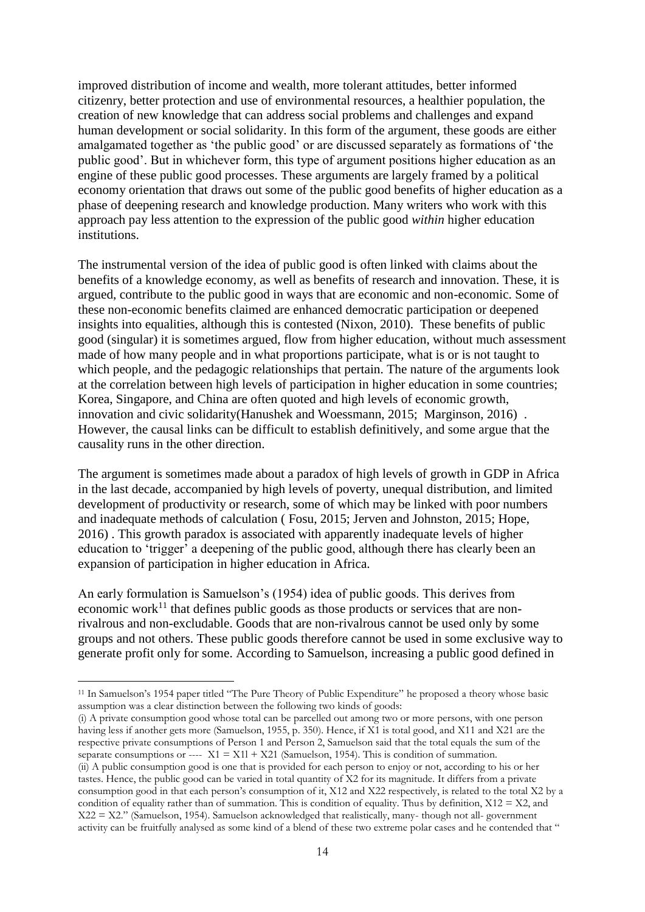improved distribution of income and wealth, more tolerant attitudes, better informed citizenry, better protection and use of environmental resources, a healthier population, the creation of new knowledge that can address social problems and challenges and expand human development or social solidarity. In this form of the argument, these goods are either amalgamated together as 'the public good' or are discussed separately as formations of 'the public good'. But in whichever form, this type of argument positions higher education as an engine of these public good processes. These arguments are largely framed by a political economy orientation that draws out some of the public good benefits of higher education as a phase of deepening research and knowledge production. Many writers who work with this approach pay less attention to the expression of the public good *within* higher education institutions.

The instrumental version of the idea of public good is often linked with claims about the benefits of a knowledge economy, as well as benefits of research and innovation. These, it is argued, contribute to the public good in ways that are economic and non-economic. Some of these non-economic benefits claimed are enhanced democratic participation or deepened insights into equalities, although this is contested (Nixon, 2010). These benefits of public good (singular) it is sometimes argued, flow from higher education, without much assessment made of how many people and in what proportions participate, what is or is not taught to which people, and the pedagogic relationships that pertain. The nature of the arguments look at the correlation between high levels of participation in higher education in some countries; Korea, Singapore, and China are often quoted and high levels of economic growth, innovation and civic solidarity(Hanushek and Woessmann, 2015; Marginson, 2016) . However, the causal links can be difficult to establish definitively, and some argue that the causality runs in the other direction.

The argument is sometimes made about a paradox of high levels of growth in GDP in Africa in the last decade, accompanied by high levels of poverty, unequal distribution, and limited development of productivity or research, some of which may be linked with poor numbers and inadequate methods of calculation ( Fosu, 2015; Jerven and Johnston, 2015; Hope, 2016) . This growth paradox is associated with apparently inadequate levels of higher education to 'trigger' a deepening of the public good, although there has clearly been an expansion of participation in higher education in Africa.

An early formulation is Samuelson's (1954) idea of public goods. This derives from economic work<sup>11</sup> that defines public goods as those products or services that are nonrivalrous and non-excludable. Goods that are non-rivalrous cannot be used only by some groups and not others. These public goods therefore cannot be used in some exclusive way to generate profit only for some. According to Samuelson, increasing a public good defined in

<u>.</u>

(i) A private consumption good whose total can be parcelled out among two or more persons, with one person having less if another gets more (Samuelson, 1955, p. 350). Hence, if X1 is total good, and X11 and X21 are the respective private consumptions of Person 1 and Person 2, Samuelson said that the total equals the sum of the separate consumptions or  $\frac{1}{2}$  X1 = X11 + X21 (Samuelson, 1954). This is condition of summation. (ii) A public consumption good is one that is provided for each person to enjoy or not, according to his or her tastes. Hence, the public good can be varied in total quantity of X2 for its magnitude. It differs from a private consumption good in that each person's consumption of it, X12 and X22 respectively, is related to the total X2 by a condition of equality rather than of summation. This is condition of equality. Thus by definition,  $X12 = X2$ , and X22 = X2." (Samuelson, 1954). Samuelson acknowledged that realistically, many- though not all- government activity can be fruitfully analysed as some kind of a blend of these two extreme polar cases and he contended that "

<sup>&</sup>lt;sup>11</sup> In Samuelson's 1954 paper titled "The Pure Theory of Public Expenditure" he proposed a theory whose basic assumption was a clear distinction between the following two kinds of goods: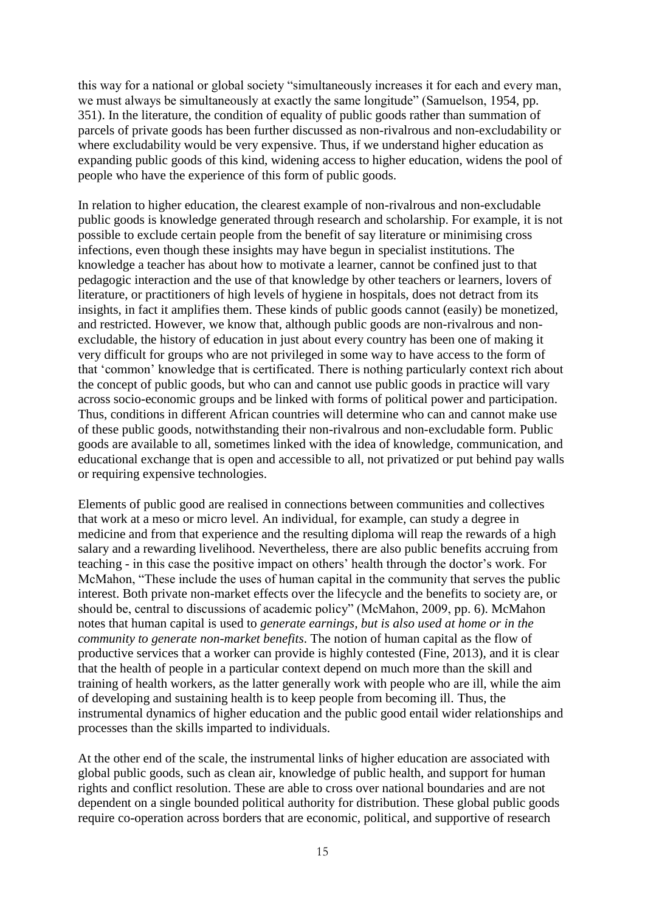this way for a national or global society "simultaneously increases it for each and every man, we must always be simultaneously at exactly the same longitude" (Samuelson, 1954, pp. 351). In the literature, the condition of equality of public goods rather than summation of parcels of private goods has been further discussed as non-rivalrous and non-excludability or where excludability would be very expensive. Thus, if we understand higher education as expanding public goods of this kind, widening access to higher education, widens the pool of people who have the experience of this form of public goods.

In relation to higher education, the clearest example of non-rivalrous and non-excludable public goods is knowledge generated through research and scholarship. For example, it is not possible to exclude certain people from the benefit of say literature or minimising cross infections, even though these insights may have begun in specialist institutions. The knowledge a teacher has about how to motivate a learner, cannot be confined just to that pedagogic interaction and the use of that knowledge by other teachers or learners, lovers of literature, or practitioners of high levels of hygiene in hospitals, does not detract from its insights, in fact it amplifies them. These kinds of public goods cannot (easily) be monetized, and restricted. However, we know that, although public goods are non-rivalrous and nonexcludable, the history of education in just about every country has been one of making it very difficult for groups who are not privileged in some way to have access to the form of that 'common' knowledge that is certificated. There is nothing particularly context rich about the concept of public goods, but who can and cannot use public goods in practice will vary across socio-economic groups and be linked with forms of political power and participation. Thus, conditions in different African countries will determine who can and cannot make use of these public goods, notwithstanding their non-rivalrous and non-excludable form. Public goods are available to all, sometimes linked with the idea of knowledge, communication, and educational exchange that is open and accessible to all, not privatized or put behind pay walls or requiring expensive technologies.

Elements of public good are realised in connections between communities and collectives that work at a meso or micro level. An individual, for example, can study a degree in medicine and from that experience and the resulting diploma will reap the rewards of a high salary and a rewarding livelihood. Nevertheless, there are also public benefits accruing from teaching - in this case the positive impact on others' health through the doctor's work. For McMahon, "These include the uses of human capital in the community that serves the public interest. Both private non-market effects over the lifecycle and the benefits to society are, or should be, central to discussions of academic policy" (McMahon, 2009, pp. 6). McMahon notes that human capital is used to *generate earnings, but is also used at home or in the community to generate non-market benefits*. The notion of human capital as the flow of productive services that a worker can provide is highly contested (Fine, 2013), and it is clear that the health of people in a particular context depend on much more than the skill and training of health workers, as the latter generally work with people who are ill, while the aim of developing and sustaining health is to keep people from becoming ill. Thus, the instrumental dynamics of higher education and the public good entail wider relationships and processes than the skills imparted to individuals.

At the other end of the scale, the instrumental links of higher education are associated with global public goods, such as clean air, knowledge of public health, and support for human rights and conflict resolution. These are able to cross over national boundaries and are not dependent on a single bounded political authority for distribution. These global public goods require co-operation across borders that are economic, political, and supportive of research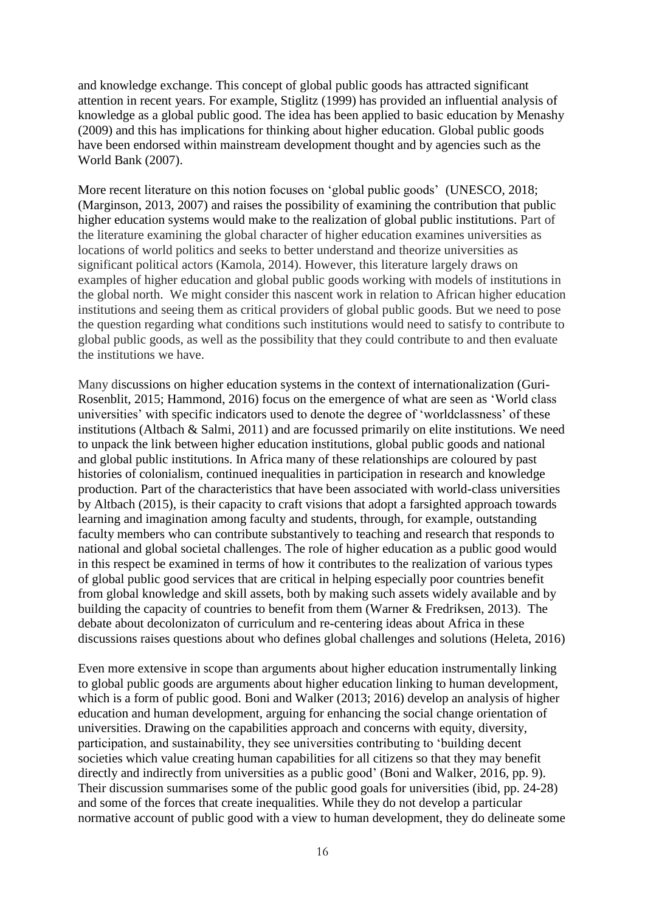and knowledge exchange. This concept of global public goods has attracted significant attention in recent years. For example, Stiglitz (1999) has provided an influential analysis of knowledge as a global public good. The idea has been applied to basic education by Menashy (2009) and this has implications for thinking about higher education. Global public goods have been endorsed within mainstream development thought and by agencies such as the World Bank (2007).

More recent literature on this notion focuses on 'global public goods' (UNESCO, 2018; (Marginson, 2013, 2007) and raises the possibility of examining the contribution that public higher education systems would make to the realization of global public institutions. Part of the literature examining the global character of higher education examines universities as locations of world politics and seeks to better understand and theorize universities as significant political actors (Kamola, 2014). However, this literature largely draws on examples of higher education and global public goods working with models of institutions in the global north. We might consider this nascent work in relation to African higher education institutions and seeing them as critical providers of global public goods. But we need to pose the question regarding what conditions such institutions would need to satisfy to contribute to global public goods, as well as the possibility that they could contribute to and then evaluate the institutions we have.

Many discussions on higher education systems in the context of internationalization (Guri-Rosenblit, 2015; Hammond, 2016) focus on the emergence of what are seen as 'World class universities' with specific indicators used to denote the degree of 'worldclassness' of these institutions (Altbach & Salmi, 2011) and are focussed primarily on elite institutions. We need to unpack the link between higher education institutions, global public goods and national and global public institutions. In Africa many of these relationships are coloured by past histories of colonialism, continued inequalities in participation in research and knowledge production. Part of the characteristics that have been associated with world-class universities by Altbach (2015), is their capacity to craft visions that adopt a farsighted approach towards learning and imagination among faculty and students, through, for example, outstanding faculty members who can contribute substantively to teaching and research that responds to national and global societal challenges. The role of higher education as a public good would in this respect be examined in terms of how it contributes to the realization of various types of global public good services that are critical in helping especially poor countries benefit from global knowledge and skill assets, both by making such assets widely available and by building the capacity of countries to benefit from them (Warner & Fredriksen, 2013). The debate about decolonizaton of curriculum and re-centering ideas about Africa in these discussions raises questions about who defines global challenges and solutions (Heleta, 2016)

Even more extensive in scope than arguments about higher education instrumentally linking to global public goods are arguments about higher education linking to human development, which is a form of public good. Boni and Walker (2013; 2016) develop an analysis of higher education and human development, arguing for enhancing the social change orientation of universities. Drawing on the capabilities approach and concerns with equity, diversity, participation, and sustainability, they see universities contributing to 'building decent societies which value creating human capabilities for all citizens so that they may benefit directly and indirectly from universities as a public good' (Boni and Walker, 2016, pp. 9). Their discussion summarises some of the public good goals for universities (ibid, pp. 24-28) and some of the forces that create inequalities. While they do not develop a particular normative account of public good with a view to human development, they do delineate some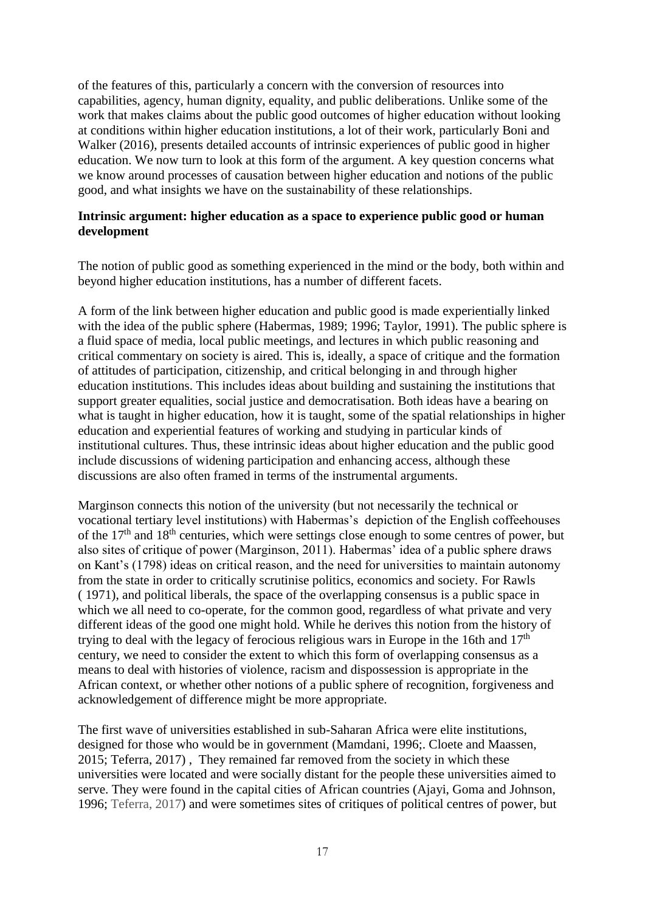of the features of this, particularly a concern with the conversion of resources into capabilities, agency, human dignity, equality, and public deliberations. Unlike some of the work that makes claims about the public good outcomes of higher education without looking at conditions within higher education institutions, a lot of their work, particularly Boni and Walker (2016), presents detailed accounts of intrinsic experiences of public good in higher education. We now turn to look at this form of the argument. A key question concerns what we know around processes of causation between higher education and notions of the public good, and what insights we have on the sustainability of these relationships.

# **Intrinsic argument: higher education as a space to experience public good or human development**

The notion of public good as something experienced in the mind or the body, both within and beyond higher education institutions, has a number of different facets.

A form of the link between higher education and public good is made experientially linked with the idea of the public sphere (Habermas, 1989; 1996; Taylor, 1991). The public sphere is a fluid space of media, local public meetings, and lectures in which public reasoning and critical commentary on society is aired. This is, ideally, a space of critique and the formation of attitudes of participation, citizenship, and critical belonging in and through higher education institutions. This includes ideas about building and sustaining the institutions that support greater equalities, social justice and democratisation. Both ideas have a bearing on what is taught in higher education, how it is taught, some of the spatial relationships in higher education and experiential features of working and studying in particular kinds of institutional cultures. Thus, these intrinsic ideas about higher education and the public good include discussions of widening participation and enhancing access, although these discussions are also often framed in terms of the instrumental arguments.

Marginson connects this notion of the university (but not necessarily the technical or vocational tertiary level institutions) with Habermas's depiction of the English coffeehouses of the  $17<sup>th</sup>$  and  $18<sup>th</sup>$  centuries, which were settings close enough to some centres of power, but also sites of critique of power (Marginson, 2011). Habermas' idea of a public sphere draws on Kant's (1798) ideas on critical reason, and the need for universities to maintain autonomy from the state in order to critically scrutinise politics, economics and society. For Rawls ( 1971), and political liberals, the space of the overlapping consensus is a public space in which we all need to co-operate, for the common good, regardless of what private and very different ideas of the good one might hold. While he derives this notion from the history of trying to deal with the legacy of ferocious religious wars in Europe in the 16th and  $17<sup>th</sup>$ century, we need to consider the extent to which this form of overlapping consensus as a means to deal with histories of violence, racism and dispossession is appropriate in the African context, or whether other notions of a public sphere of recognition, forgiveness and acknowledgement of difference might be more appropriate.

The first wave of universities established in sub-Saharan Africa were elite institutions, designed for those who would be in government (Mamdani, 1996;. Cloete and Maassen, 2015; Teferra, 2017) , They remained far removed from the society in which these universities were located and were socially distant for the people these universities aimed to serve. They were found in the capital cities of African countries (Ajayi, Goma and Johnson, 1996; Teferra, 2017) and were sometimes sites of critiques of political centres of power, but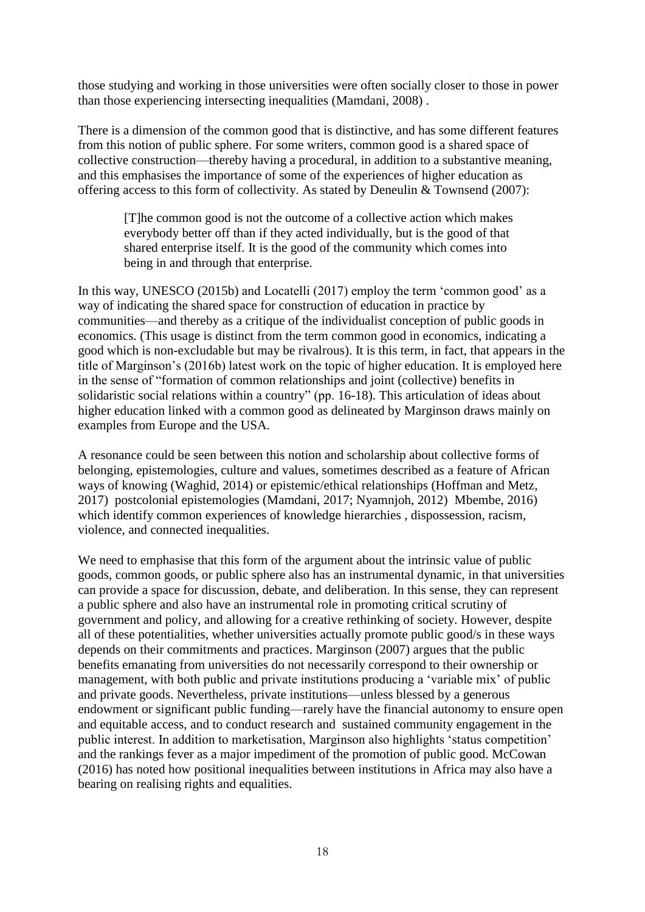those studying and working in those universities were often socially closer to those in power than those experiencing intersecting inequalities (Mamdani, 2008) .

There is a dimension of the common good that is distinctive, and has some different features from this notion of public sphere. For some writers, common good is a shared space of collective construction—thereby having a procedural, in addition to a substantive meaning, and this emphasises the importance of some of the experiences of higher education as offering access to this form of collectivity. As stated by Deneulin & Townsend (2007):

[T]he common good is not the outcome of a collective action which makes everybody better off than if they acted individually, but is the good of that shared enterprise itself. It is the good of the community which comes into being in and through that enterprise.

In this way, UNESCO (2015b) and Locatelli (2017) employ the term 'common good' as a way of indicating the shared space for construction of education in practice by communities—and thereby as a critique of the individualist conception of public goods in economics. (This usage is distinct from the term common good in economics, indicating a good which is non-excludable but may be rivalrous). It is this term, in fact, that appears in the title of Marginson's (2016b) latest work on the topic of higher education. It is employed here in the sense of "formation of common relationships and joint (collective) benefits in solidaristic social relations within a country" (pp. 16-18). This articulation of ideas about higher education linked with a common good as delineated by Marginson draws mainly on examples from Europe and the USA.

A resonance could be seen between this notion and scholarship about collective forms of belonging, epistemologies, culture and values, sometimes described as a feature of African ways of knowing (Waghid, 2014) or epistemic/ethical relationships (Hoffman and Metz, 2017) postcolonial epistemologies (Mamdani, 2017; Nyamnjoh, 2012) Mbembe, 2016) which identify common experiences of knowledge hierarchies , dispossession, racism, violence, and connected inequalities.

We need to emphasise that this form of the argument about the intrinsic value of public goods, common goods, or public sphere also has an instrumental dynamic, in that universities can provide a space for discussion, debate, and deliberation. In this sense, they can represent a public sphere and also have an instrumental role in promoting critical scrutiny of government and policy, and allowing for a creative rethinking of society. However, despite all of these potentialities, whether universities actually promote public good/s in these ways depends on their commitments and practices. Marginson (2007) argues that the public benefits emanating from universities do not necessarily correspond to their ownership or management, with both public and private institutions producing a 'variable mix' of public and private goods. Nevertheless, private institutions—unless blessed by a generous endowment or significant public funding—rarely have the financial autonomy to ensure open and equitable access, and to conduct research and sustained community engagement in the public interest. In addition to marketisation, Marginson also highlights 'status competition' and the rankings fever as a major impediment of the promotion of public good. McCowan (2016) has noted how positional inequalities between institutions in Africa may also have a bearing on realising rights and equalities.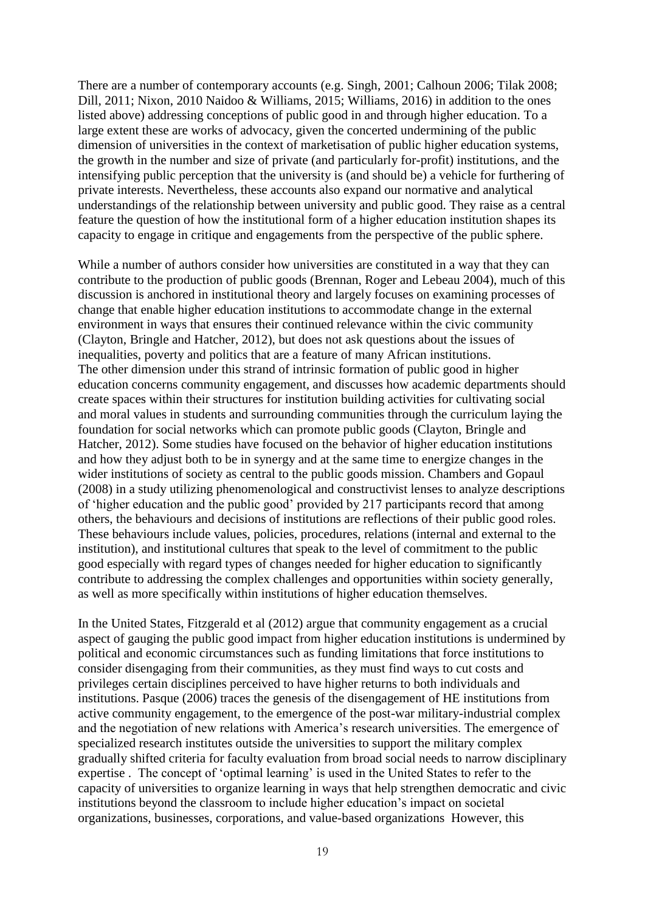There are a number of contemporary accounts (e.g. Singh, 2001; Calhoun 2006; Tilak 2008; Dill, 2011; Nixon, 2010 Naidoo & Williams, 2015; Williams, 2016) in addition to the ones listed above) addressing conceptions of public good in and through higher education. To a large extent these are works of advocacy, given the concerted undermining of the public dimension of universities in the context of marketisation of public higher education systems, the growth in the number and size of private (and particularly for-profit) institutions, and the intensifying public perception that the university is (and should be) a vehicle for furthering of private interests. Nevertheless, these accounts also expand our normative and analytical understandings of the relationship between university and public good. They raise as a central feature the question of how the institutional form of a higher education institution shapes its capacity to engage in critique and engagements from the perspective of the public sphere.

While a number of authors consider how universities are constituted in a way that they can contribute to the production of public goods (Brennan, Roger and Lebeau 2004), much of this discussion is anchored in institutional theory and largely focuses on examining processes of change that enable higher education institutions to accommodate change in the external environment in ways that ensures their continued relevance within the civic community (Clayton, Bringle and Hatcher, 2012), but does not ask questions about the issues of inequalities, poverty and politics that are a feature of many African institutions. The other dimension under this strand of intrinsic formation of public good in higher education concerns community engagement, and discusses how academic departments should create spaces within their structures for institution building activities for cultivating social and moral values in students and surrounding communities through the curriculum laying the foundation for social networks which can promote public goods (Clayton, Bringle and Hatcher, 2012). Some studies have focused on the behavior of higher education institutions and how they adjust both to be in synergy and at the same time to energize changes in the wider institutions of society as central to the public goods mission. Chambers and Gopaul (2008) in a study utilizing phenomenological and constructivist lenses to analyze descriptions of 'higher education and the public good' provided by 217 participants record that among others, the behaviours and decisions of institutions are reflections of their public good roles. These behaviours include values, policies, procedures, relations (internal and external to the institution), and institutional cultures that speak to the level of commitment to the public good especially with regard types of changes needed for higher education to significantly contribute to addressing the complex challenges and opportunities within society generally, as well as more specifically within institutions of higher education themselves.

In the United States, Fitzgerald et al (2012) argue that community engagement as a crucial aspect of gauging the public good impact from higher education institutions is undermined by political and economic circumstances such as funding limitations that force institutions to consider disengaging from their communities, as they must find ways to cut costs and privileges certain disciplines perceived to have higher returns to both individuals and institutions. Pasque (2006) traces the genesis of the disengagement of HE institutions from active community engagement, to the emergence of the post-war military-industrial complex and the negotiation of new relations with America's research universities. The emergence of specialized research institutes outside the universities to support the military complex gradually shifted criteria for faculty evaluation from broad social needs to narrow disciplinary expertise . The concept of 'optimal learning' is used in the United States to refer to the capacity of universities to organize learning in ways that help strengthen democratic and civic institutions beyond the classroom to include higher education's impact on societal organizations, businesses, corporations, and value-based organizations However, this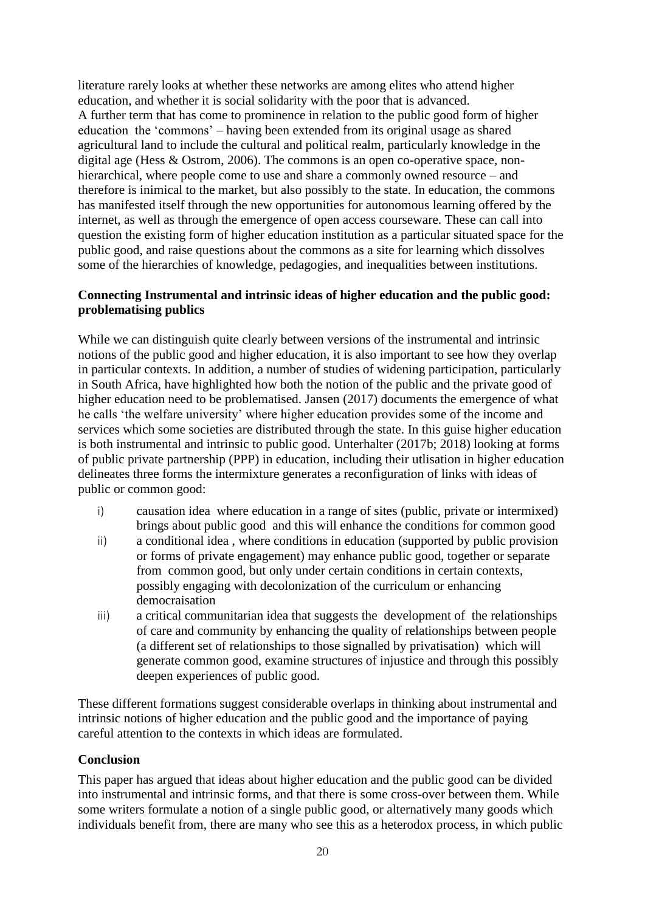literature rarely looks at whether these networks are among elites who attend higher education, and whether it is social solidarity with the poor that is advanced. A further term that has come to prominence in relation to the public good form of higher education the 'commons' – having been extended from its original usage as shared agricultural land to include the cultural and political realm, particularly knowledge in the digital age (Hess & Ostrom, 2006). The commons is an open co-operative space, nonhierarchical, where people come to use and share a commonly owned resource – and therefore is inimical to the market, but also possibly to the state. In education, the commons has manifested itself through the new opportunities for autonomous learning offered by the internet, as well as through the emergence of open access courseware. These can call into question the existing form of higher education institution as a particular situated space for the public good, and raise questions about the commons as a site for learning which dissolves some of the hierarchies of knowledge, pedagogies, and inequalities between institutions.

# **Connecting Instrumental and intrinsic ideas of higher education and the public good: problematising publics**

While we can distinguish quite clearly between versions of the instrumental and intrinsic notions of the public good and higher education, it is also important to see how they overlap in particular contexts. In addition, a number of studies of widening participation, particularly in South Africa, have highlighted how both the notion of the public and the private good of higher education need to be problematised. Jansen (2017) documents the emergence of what he calls 'the welfare university' where higher education provides some of the income and services which some societies are distributed through the state. In this guise higher education is both instrumental and intrinsic to public good. Unterhalter (2017b; 2018) looking at forms of public private partnership (PPP) in education, including their utlisation in higher education delineates three forms the intermixture generates a reconfiguration of links with ideas of public or common good:

- i) causation idea where education in a range of sites (public, private or intermixed) brings about public good and this will enhance the conditions for common good
- ii) a conditional idea , where conditions in education (supported by public provision or forms of private engagement) may enhance public good, together or separate from common good, but only under certain conditions in certain contexts, possibly engaging with decolonization of the curriculum or enhancing democraisation
- iii) a critical communitarian idea that suggests the development of the relationships of care and community by enhancing the quality of relationships between people (a different set of relationships to those signalled by privatisation) which will generate common good, examine structures of injustice and through this possibly deepen experiences of public good.

These different formations suggest considerable overlaps in thinking about instrumental and intrinsic notions of higher education and the public good and the importance of paying careful attention to the contexts in which ideas are formulated.

# **Conclusion**

This paper has argued that ideas about higher education and the public good can be divided into instrumental and intrinsic forms, and that there is some cross-over between them. While some writers formulate a notion of a single public good, or alternatively many goods which individuals benefit from, there are many who see this as a heterodox process, in which public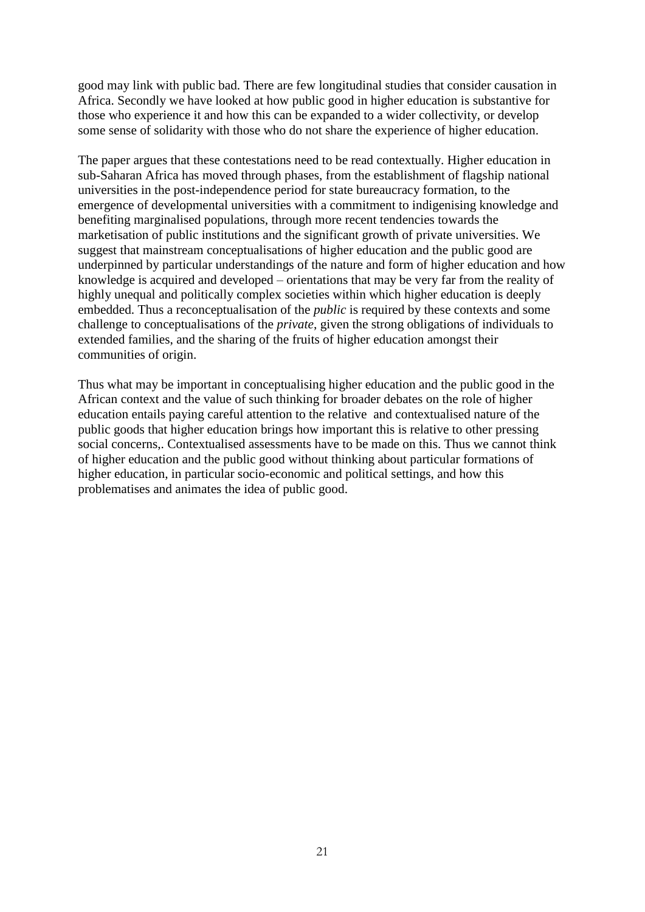good may link with public bad. There are few longitudinal studies that consider causation in Africa. Secondly we have looked at how public good in higher education is substantive for those who experience it and how this can be expanded to a wider collectivity, or develop some sense of solidarity with those who do not share the experience of higher education.

The paper argues that these contestations need to be read contextually. Higher education in sub-Saharan Africa has moved through phases, from the establishment of flagship national universities in the post-independence period for state bureaucracy formation, to the emergence of developmental universities with a commitment to indigenising knowledge and benefiting marginalised populations, through more recent tendencies towards the marketisation of public institutions and the significant growth of private universities. We suggest that mainstream conceptualisations of higher education and the public good are underpinned by particular understandings of the nature and form of higher education and how knowledge is acquired and developed – orientations that may be very far from the reality of highly unequal and politically complex societies within which higher education is deeply embedded. Thus a reconceptualisation of the *public* is required by these contexts and some challenge to conceptualisations of the *private*, given the strong obligations of individuals to extended families, and the sharing of the fruits of higher education amongst their communities of origin.

Thus what may be important in conceptualising higher education and the public good in the African context and the value of such thinking for broader debates on the role of higher education entails paying careful attention to the relative and contextualised nature of the public goods that higher education brings how important this is relative to other pressing social concerns,. Contextualised assessments have to be made on this. Thus we cannot think of higher education and the public good without thinking about particular formations of higher education, in particular socio-economic and political settings, and how this problematises and animates the idea of public good.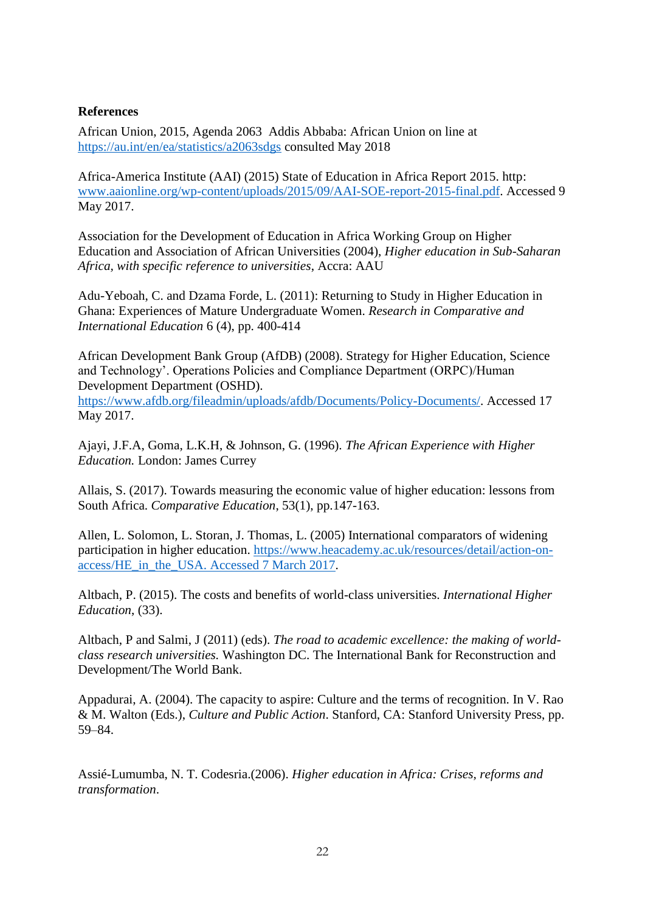# **References**

African Union, 2015, Agenda 2063 Addis Abbaba: African Union on line at <https://au.int/en/ea/statistics/a2063sdgs> consulted May 2018

Africa-America Institute (AAI) (2015) State of Education in Africa Report 2015. http: [www.aaionline.org/wp-content/uploads/2015/09/AAI-SOE-report-2015-final.pdf.](http://www.aaionline.org/wp-content/uploads/2015/09/AAI-SOE-report-2015-final.pdf) Accessed 9 May 2017.

Association for the Development of Education in Africa Working Group on Higher Education and Association of African Universities (2004), *Higher education in Sub-Saharan Africa, with specific reference to universities*, Accra: AAU

Adu-Yeboah, C. and Dzama Forde, L. (2011): Returning to Study in Higher Education in Ghana: Experiences of Mature Undergraduate Women. *Research in Comparative and International Education* 6 (4), pp. 400-414

African Development Bank Group (AfDB) (2008). Strategy for Higher Education, Science and Technology'. Operations Policies and Compliance Department (ORPC)/Human Development Department (OSHD).

[https://www.afdb.org/fileadmin/uploads/afdb/Documents/Policy-Documents/.](https://www.afdb.org/fileadmin/uploads/afdb/Documents/Policy-Documents/) Accessed 17 May 2017.

Ajayi, J.F.A, Goma, L.K.H, & Johnson, G. (1996). *The African Experience with Higher Education.* London: James Currey

Allais, S. (2017). Towards measuring the economic value of higher education: lessons from South Africa. *Comparative Education*, 53(1), pp.147-163.

Allen, L. Solomon, L. Storan, J. Thomas, L. (2005) International comparators of widening participation in higher education. [https://www.heacademy.ac.uk/resources/detail/action-on](https://www.heacademy.ac.uk/resources/detail/action-on-access/HE_in_the_USA.%20Accessed%207%20March%202017)[access/HE\\_in\\_the\\_USA. Accessed 7 March 2017.](https://www.heacademy.ac.uk/resources/detail/action-on-access/HE_in_the_USA.%20Accessed%207%20March%202017)

Altbach, P. (2015). The costs and benefits of world-class universities. *International Higher Education*, (33).

Altbach, P and Salmi, J (2011) (eds). *The road to academic excellence: the making of worldclass research universities.* Washington DC. The International Bank for Reconstruction and Development/The World Bank.

Appadurai, A. (2004). The capacity to aspire: Culture and the terms of recognition. In V. Rao & M. Walton (Eds.), *Culture and Public Action*. Stanford, CA: Stanford University Press, pp. 59–84.

Assié-Lumumba, N. T. Codesria.(2006). *Higher education in Africa: Crises, reforms and transformation*.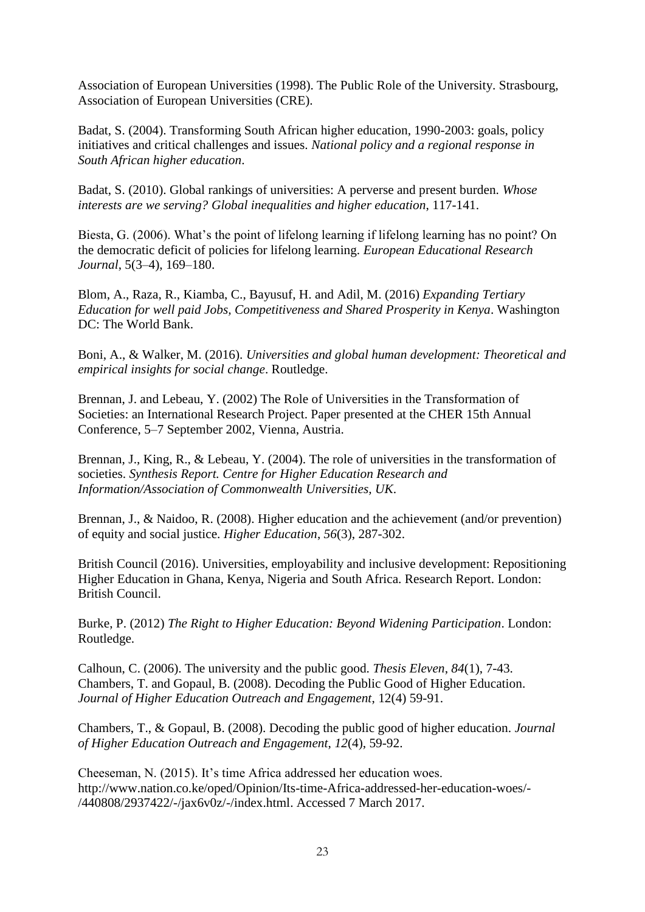Association of European Universities (1998). The Public Role of the University. Strasbourg, Association of European Universities (CRE).

Badat, S. (2004). Transforming South African higher education, 1990-2003: goals, policy initiatives and critical challenges and issues. *National policy and a regional response in South African higher education*.

Badat, S. (2010). Global rankings of universities: A perverse and present burden. *Whose interests are we serving? Global inequalities and higher education*, 117-141.

Biesta, G. (2006). What's the point of lifelong learning if lifelong learning has no point? On the democratic deficit of policies for lifelong learning. *European Educational Research Journal*, 5(3–4), 169–180.

Blom, A., Raza, R., Kiamba, C., Bayusuf, H. and Adil, M. (2016) *Expanding Tertiary Education for well paid Jobs, Competitiveness and Shared Prosperity in Kenya*. Washington DC: The World Bank.

Boni, A., & Walker, M. (2016). *Universities and global human development: Theoretical and empirical insights for social change*. Routledge.

Brennan, J. and Lebeau, Y. (2002) The Role of Universities in the Transformation of Societies: an International Research Project. Paper presented at the CHER 15th Annual Conference, 5–7 September 2002, Vienna, Austria.

Brennan, J., King, R., & Lebeau, Y. (2004). The role of universities in the transformation of societies. *Synthesis Report. Centre for Higher Education Research and Information/Association of Commonwealth Universities, UK*.

Brennan, J., & Naidoo, R. (2008). Higher education and the achievement (and/or prevention) of equity and social justice. *Higher Education*, *56*(3), 287-302.

British Council (2016). Universities, employability and inclusive development: Repositioning Higher Education in Ghana, Kenya, Nigeria and South Africa. Research Report. London: British Council.

Burke, P. (2012) *The Right to Higher Education: Beyond Widening Participation*. London: Routledge.

Calhoun, C. (2006). The university and the public good. *Thesis Eleven*, *84*(1), 7-43. Chambers, T. and Gopaul, B. (2008). Decoding the Public Good of Higher Education. *Journal of Higher Education Outreach and Engagement*, 12(4) 59-91.

Chambers, T., & Gopaul, B. (2008). Decoding the public good of higher education. *Journal of Higher Education Outreach and Engagement*, *12*(4), 59-92.

Cheeseman, N. (2015). It's time Africa addressed her education woes. [http://www.nation.co.ke/oped/Opinion/Its-time-Africa-addressed-her-education-woes/-](http://www.nation.co.ke/oped/Opinion/Its-time-Africa-addressed-her-education-woes/-/440808/2937422/-/jax6v0z/-/index.html) [/440808/2937422/-/jax6v0z/-/index.html.](http://www.nation.co.ke/oped/Opinion/Its-time-Africa-addressed-her-education-woes/-/440808/2937422/-/jax6v0z/-/index.html) Accessed 7 March 2017.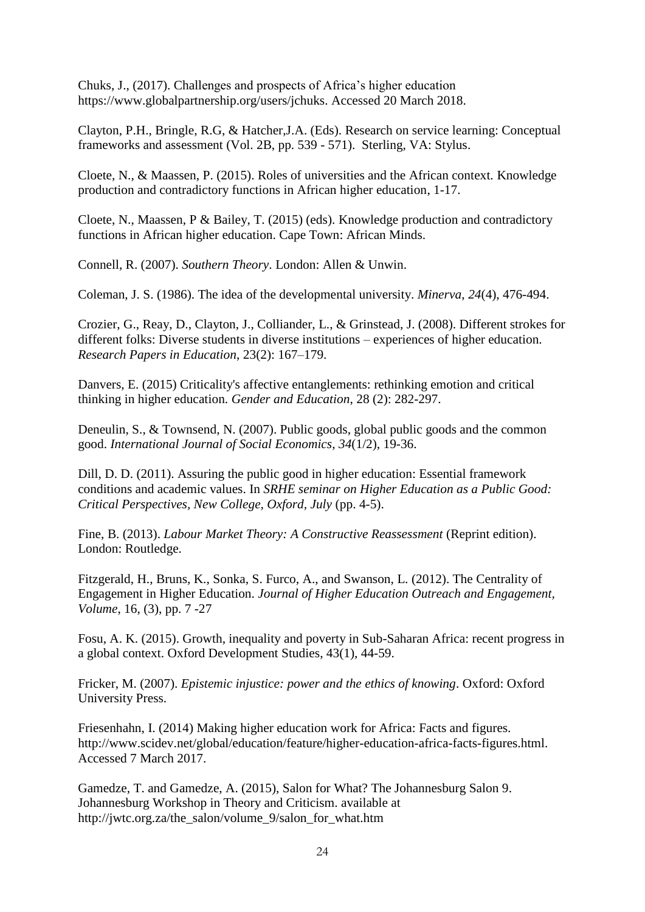Chuks, J., (2017). Challenges and prospects of Africa's higher education [https://www.globalpartnership.org/users/jchuks.](https://www.globalpartnership.org/users/jchuks) Accessed 20 March 2018.

Clayton, P.H., Bringle, R.G, & Hatcher,J.A. (Eds). Research on service learning: Conceptual frameworks and assessment (Vol. 2B, pp. 539 - 571). Sterling, VA: Stylus.

Cloete, N., & Maassen, P. (2015). Roles of universities and the African context. Knowledge production and contradictory functions in African higher education, 1-17.

Cloete, N., Maassen, P & Bailey, T. (2015) (eds). Knowledge production and contradictory functions in African higher education. Cape Town: African Minds.

Connell, R. (2007). *Southern Theory*. London: Allen & Unwin.

Coleman, J. S. (1986). The idea of the developmental university. *Minerva*, *24*(4), 476-494.

Crozier, G., Reay, D., Clayton, J., Colliander, L., & Grinstead, J. (2008). Different strokes for different folks: Diverse students in diverse institutions – experiences of higher education. *Research Papers in Education*, 23(2): 167–179.

Danvers, E. (2015) Criticality's affective entanglements: rethinking emotion and critical thinking in higher education. *Gender and Education*, 28 (2): 282-297.

Deneulin, S., & Townsend, N. (2007). Public goods, global public goods and the common good. *International Journal of Social Economics*, *34*(1/2), 19-36.

Dill, D. D. (2011). Assuring the public good in higher education: Essential framework conditions and academic values. In *SRHE seminar on Higher Education as a Public Good: Critical Perspectives, New College, Oxford, July* (pp. 4-5).

Fine, B. (2013). *Labour Market Theory: A Constructive Reassessment* (Reprint edition). London: Routledge.

Fitzgerald, H., Bruns, K., Sonka, S. Furco, A., and Swanson, L. (2012). The Centrality of Engagement in Higher Education. *Journal of Higher Education Outreach and Engagement, Volume*, 16, (3), pp. 7 -27

Fosu, A. K. (2015). Growth, inequality and poverty in Sub-Saharan Africa: recent progress in a global context. Oxford Development Studies, 43(1), 44-59.

Fricker, M. (2007). *Epistemic injustice: power and the ethics of knowing*. Oxford: Oxford University Press.

Friesenhahn, I. (2014) Making higher education work for Africa: Facts and figures. [http://www.scidev.net/global/education/feature/higher-education-africa-facts-figures.html.](http://www.scidev.net/global/education/feature/higher-education-africa-facts-figures.html) Accessed 7 March 2017.

Gamedze, T. and Gamedze, A. (2015), Salon for What? The Johannesburg Salon 9. Johannesburg Workshop in Theory and Criticism. available at http://jwtc.org.za/the\_salon/volume\_9/salon\_for\_what.htm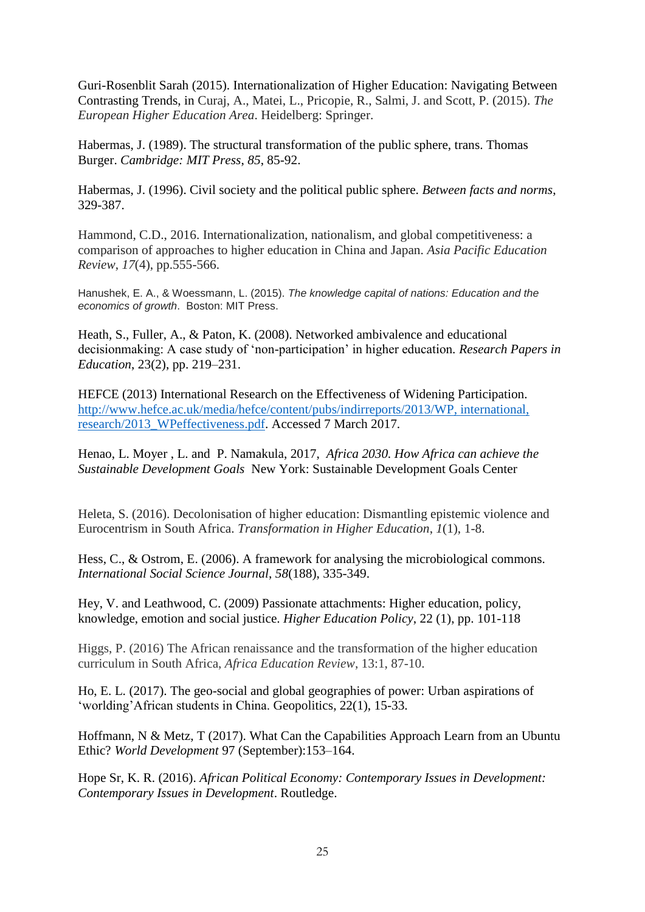Guri-Rosenblit Sarah (2015). Internationalization of Higher Education: Navigating Between Contrasting Trends, in Curaj, A., Matei, L., Pricopie, R., Salmi, J. and Scott, P. (2015). *The European Higher Education Area*. Heidelberg: Springer.

Habermas, J. (1989). The structural transformation of the public sphere, trans. Thomas Burger. *Cambridge: MIT Press*, *85*, 85-92.

Habermas, J. (1996). Civil society and the political public sphere. *Between facts and norms*, 329-387.

Hammond, C.D., 2016. Internationalization, nationalism, and global competitiveness: a comparison of approaches to higher education in China and Japan. *Asia Pacific Education Review*, *17*(4), pp.555-566.

Hanushek, E. A., & Woessmann, L. (2015). *The knowledge capital of nations: Education and the economics of growth*. Boston: MIT Press.

Heath, S., Fuller, A., & Paton, K. (2008). Networked ambivalence and educational decisionmaking: A case study of 'non-participation' in higher education*. Research Papers in Education*, 23(2), pp. 219–231.

HEFCE (2013) International Research on the Effectiveness of Widening Participation. [http://www.hefce.ac.uk/media/hefce/content/pubs/indirreports/2013/WP, international,](http://www.hefce.ac.uk/media/hefce/content/pubs/indirreports/2013/WP,%20international,%20research/2013_WPeffectiveness.pdf)  [research/2013\\_WPeffectiveness.pdf.](http://www.hefce.ac.uk/media/hefce/content/pubs/indirreports/2013/WP,%20international,%20research/2013_WPeffectiveness.pdf) Accessed 7 March 2017.

Henao, L. Moyer , L. and P. Namakula, 2017, *Africa 2030. How Africa can achieve the Sustainable Development Goals* New York: Sustainable Development Goals Center

Heleta, S. (2016). Decolonisation of higher education: Dismantling epistemic violence and Eurocentrism in South Africa. *Transformation in Higher Education*, *1*(1), 1-8.

Hess, C., & Ostrom, E. (2006). A framework for analysing the microbiological commons. *International Social Science Journal*, *58*(188), 335-349.

Hey, V. and Leathwood, C. (2009) [Passionate attachments: Higher education, policy,](http://sro.sussex.ac.uk/21767/)  [knowledge, emotion and social justice.](http://sro.sussex.ac.uk/21767/) *Higher Education Policy*, 22 (1), pp. 101-118

Higgs, P. (2016) The African renaissance and the transformation of the higher education curriculum in South Africa, *Africa Education Review*, 13:1, 87-10.

Ho, E. L. (2017). The geo-social and global geographies of power: Urban aspirations of 'worlding'African students in China. Geopolitics, 22(1), 15-33.

Hoffmann, N & Metz, T (2017). What Can the Capabilities Approach Learn from an Ubuntu Ethic? *World Development* 97 (September):153–164.

Hope Sr, K. R. (2016). *African Political Economy: Contemporary Issues in Development: Contemporary Issues in Development*. Routledge.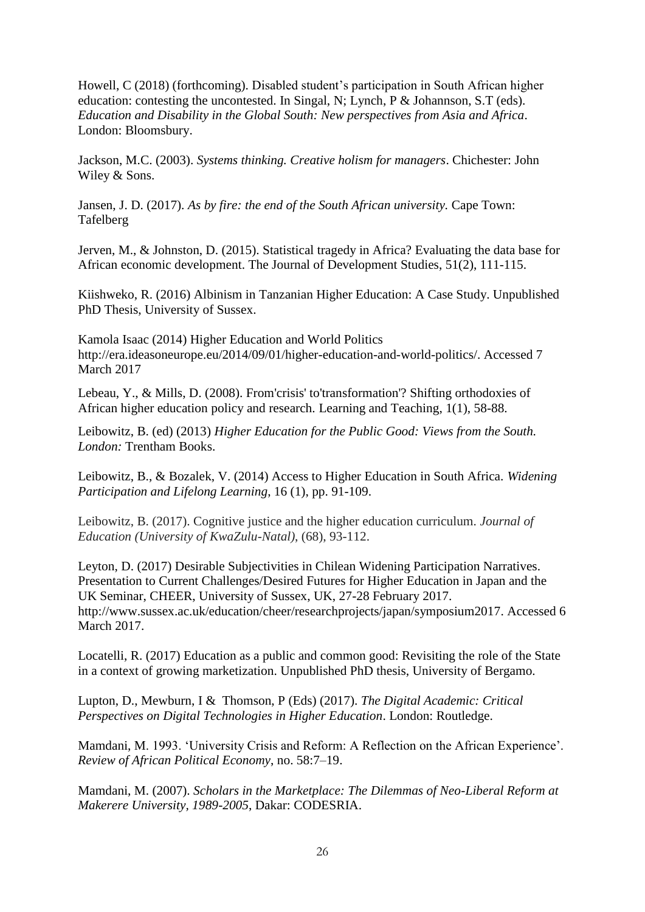Howell, C (2018) (forthcoming). Disabled student's participation in South African higher education: contesting the uncontested. In Singal, N; Lynch, P & Johannson, S.T (eds). *Education and Disability in the Global South: New perspectives from Asia and Africa*. London: Bloomsbury.

Jackson, M.C. (2003). *Systems thinking. Creative holism for managers*. Chichester: John Wiley & Sons.

Jansen, J. D. (2017). *As by fire: the end of the South African university.* Cape Town: Tafelberg

Jerven, M., & Johnston, D. (2015). Statistical tragedy in Africa? Evaluating the data base for African economic development. The Journal of Development Studies, 51(2), 111-115.

Kiishweko, R. (2016) Albinism in Tanzanian Higher Education: A Case Study. Unpublished PhD Thesis, University of Sussex.

Kamola Isaac (2014) Higher Education and World Politics [http://era.ideasoneurope.eu/2014/09/01/higher-education-and-world-politics/.](http://era.ideasoneurope.eu/2014/09/01/higher-education-and-world-politics/) Accessed 7 March 2017

Lebeau, Y., & Mills, D. (2008). From'crisis' to'transformation'? Shifting orthodoxies of African higher education policy and research. Learning and Teaching, 1(1), 58-88.

Leibowitz, B. (ed) (2013) *[Higher Education for the Public Good:](http://www.ucl-ioe-press.com/books/higher-education-and-lifelong-learning/higher-education-for-the-public-good/) Views from the South. London:* Trentham Books.

Leibowitz, B., & Bozalek, V. (2014) Access to Higher Education in South Africa. *[Widening](http://www.ingentaconnect.com/content/openu/jwpll;jsessionid=2m4vs94eoggt8.x-ic-live-03)  [Participation and Lifelong Learning](http://www.ingentaconnect.com/content/openu/jwpll;jsessionid=2m4vs94eoggt8.x-ic-live-03)*, 16 (1), pp. 91-109.

Leibowitz, B. (2017). Cognitive justice and the higher education curriculum. *Journal of Education (University of KwaZulu-Natal)*, (68), 93-112.

Leyton, D. (2017) Desirable Subjectivities in Chilean Widening Participation Narratives. Presentation to Current Challenges/Desired Futures for Higher Education in Japan and the UK Seminar, CHEER, University of Sussex, UK, 27-28 February 2017. [http://www.sussex.ac.uk/education/cheer/researchprojects/japan/symposium2017.](http://www.sussex.ac.uk/education/cheer/researchprojects/japan/symposium2017) Accessed 6 March 2017.

Locatelli, R. (2017) Education as a public and common good: Revisiting the role of the State in a context of growing marketization. Unpublished PhD thesis, University of Bergamo.

Lupton, D., [Mewburn,](https://www.amazon.co.uk/Inger-Mewburn/e/B00IZH5J24/ref=dp_byline_cont_book_2) I & [Thomson,](https://www.amazon.co.uk/Pat-Thomson/e/B001IXNYV0/ref=dp_byline_cont_book_3) P (Eds) (2017). *The Digital Academic: Critical Perspectives on Digital Technologies in Higher Education*. London: Routledge.

Mamdani, M. 1993. 'University Crisis and Reform: A Reflection on the African Experience'. *Review of African Political Economy*, no. 58:7–19.

Mamdani, M. (2007). *Scholars in the Marketplace: The Dilemmas of Neo-Liberal Reform at Makerere University, 1989-2005*, Dakar: CODESRIA.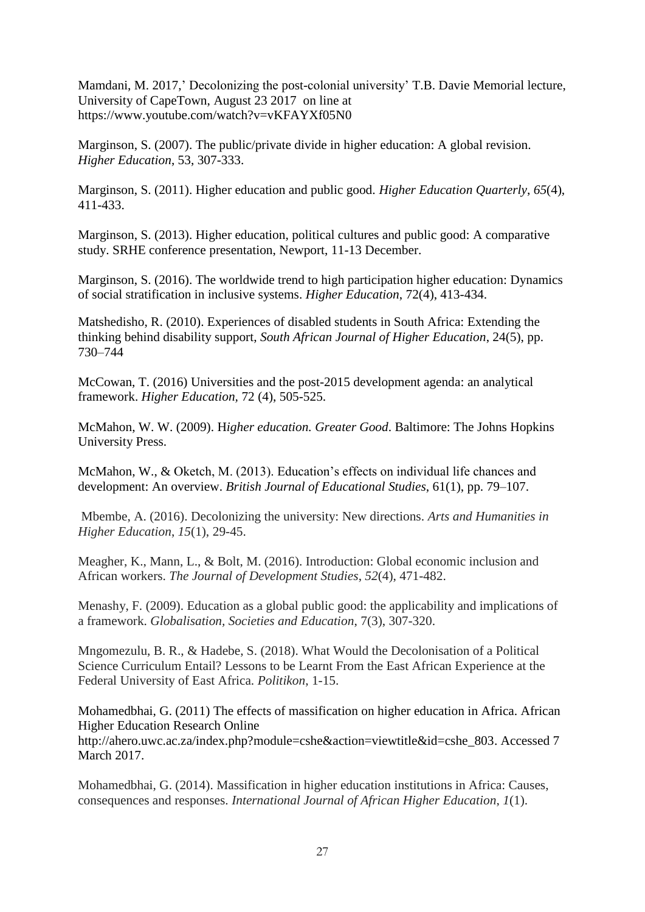Mamdani, M. 2017,' Decolonizing the post-colonial university' T.B. Davie Memorial lecture, University of CapeTown, August 23 2017 on line at https://www.youtube.com/watch?v=vKFAYXf05N0

Marginson, S. (2007). The public/private divide in higher education: A global revision. *Higher Education*, 53, 307-333.

Marginson, S. (2011). Higher education and public good. *Higher Education Quarterly*, *65*(4), 411-433.

Marginson, S. (2013). Higher education, political cultures and public good: A comparative study. SRHE conference presentation, Newport, 11-13 December.

Marginson, S. (2016). The worldwide trend to high participation higher education: Dynamics of social stratification in inclusive systems. *Higher Education*, 72(4), 413-434.

Matshedisho, R. (2010). Experiences of disabled students in South Africa: Extending the thinking behind disability support, *South African Journal of Higher Education*, 24(5), pp. 730–744

McCowan, T. (2016) Universities and the post-2015 development agenda: an analytical framework. *Higher Education,* 72 (4), 505-525.

McMahon, W. W. (2009). H*igher education. Greater Good*. Baltimore: The Johns Hopkins University Press.

McMahon, W., & Oketch, M. (2013). Education's effects on individual life chances and development: An overview. *British Journal of Educational Studies*, 61(1), pp. 79–107.

Mbembe, A. (2016). Decolonizing the university: New directions. *Arts and Humanities in Higher Education*, *15*(1), 29-45.

Meagher, K., Mann, L., & Bolt, M. (2016). Introduction: Global economic inclusion and African workers. *The Journal of Development Studies*, *52*(4), 471-482.

Menashy, F. (2009). Education as a global public good: the applicability and implications of a framework. *Globalisation, Societies and Education*, 7(3), 307-320.

Mngomezulu, B. R., & Hadebe, S. (2018). What Would the Decolonisation of a Political Science Curriculum Entail? Lessons to be Learnt From the East African Experience at the Federal University of East Africa. *Politikon*, 1-15.

Mohamedbhai, G. (2011) The effects of massification on higher education in Africa. African Higher Education Research Online [http://ahero.uwc.ac.za/index.php?module=cshe&action=viewtitle&id=cshe\\_803.](http://ahero.uwc.ac.za/index.php?module=cshe&action=viewtitle&id=cshe_803) Accessed 7 March 2017.

Mohamedbhai, G. (2014). Massification in higher education institutions in Africa: Causes, consequences and responses. *International Journal of African Higher Education*, *1*(1).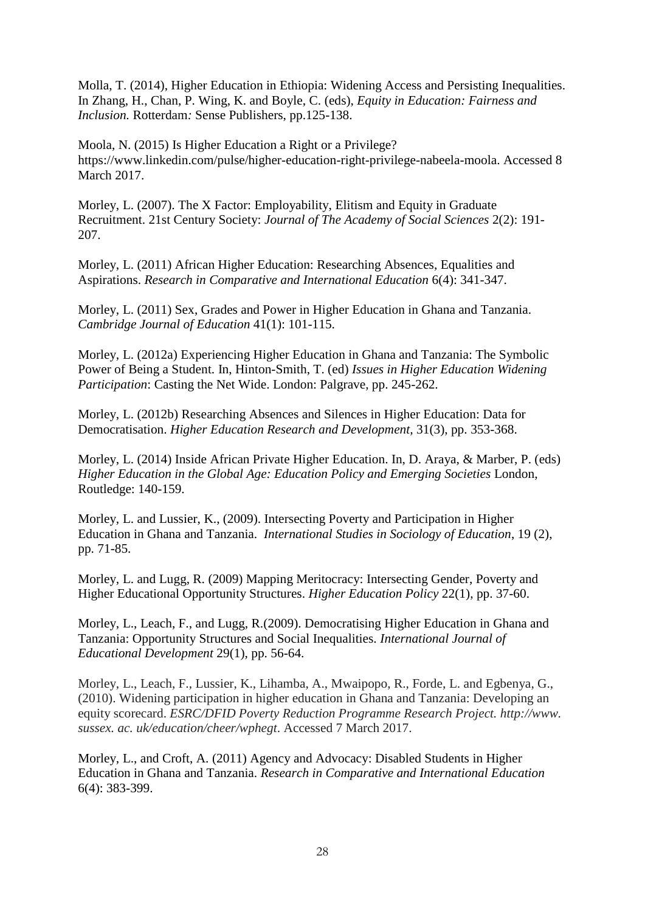Molla, T. (2014), Higher Education in Ethiopia: Widening Access and Persisting Inequalities. In Zhang, H., Chan, P. Wing, K. and Boyle, C. (eds), *Equity in Education: Fairness and Inclusion.* Rotterdam*:* Sense Publishers, pp.125-138.

Moola, N. (2015) Is Higher Education a Right or a Privilege? [https://www.linkedin.com/pulse/higher-education-right-privilege-nabeela-moola.](https://www.linkedin.com/pulse/higher-education-right-privilege-nabeela-moola) Accessed 8 March 2017.

Morley, L. (2007). The X Factor: Employability, Elitism and Equity in Graduate Recruitment. 21st Century Society: *Journal of The Academy of Social Sciences* 2(2): 191- 207.

Morley, L. (2011) African Higher Education: Researching Absences, Equalities and Aspirations. *Research in Comparative and International Education* 6(4): 341-347.

Morley, L. (2011) Sex, Grades and Power in Higher Education in Ghana and Tanzania. *Cambridge Journal of Education* 41(1): 101-115.

Morley, L. (2012a) Experiencing Higher Education in Ghana and Tanzania: The Symbolic Power of Being a Student. In, Hinton-Smith, T. (ed) *Issues in Higher Education Widening Participation*: Casting the Net Wide. London: Palgrave, pp. 245-262.

Morley, L. (2012b) Researching Absences and Silences in Higher Education: Data for Democratisation. *Higher Education Research and Development,* 31(3), pp. 353-368.

Morley, L. (2014) Inside African Private Higher Education. In, D. Araya, & Marber, P. (eds) *Higher Education in the Global Age: Education Policy and Emerging Societies* London, Routledge: 140-159.

Morley, L. and Lussier, K., (2009). Intersecting Poverty and Participation in Higher Education in Ghana and Tanzania. *International Studies in Sociology of Education*, 19 (2), pp. 71-85.

Morley, L. and Lugg, R. (2009) Mapping Meritocracy: Intersecting Gender, Poverty and Higher Educational Opportunity Structures. *Higher Education Policy* 22(1), pp. 37-60.

Morley, L., Leach, F., and Lugg, R.(2009). Democratising Higher Education in Ghana and Tanzania: Opportunity Structures and Social Inequalities. *International Journal of Educational Development* 29(1), pp. 56-64.

Morley, L., Leach, F., Lussier, K., Lihamba, A., Mwaipopo, R., Forde, L. and Egbenya, G., (2010). Widening participation in higher education in Ghana and Tanzania: Developing an equity scorecard. *ESRC/DFID Poverty Reduction Programme Research Project. http://www. sussex. ac. uk/education/cheer/wphegt*. Accessed 7 March 2017.

Morley, L., and Croft, A. (2011) Agency and Advocacy: Disabled Students in Higher Education in Ghana and Tanzania. *Research in Comparative and International Education*  6(4): 383-399.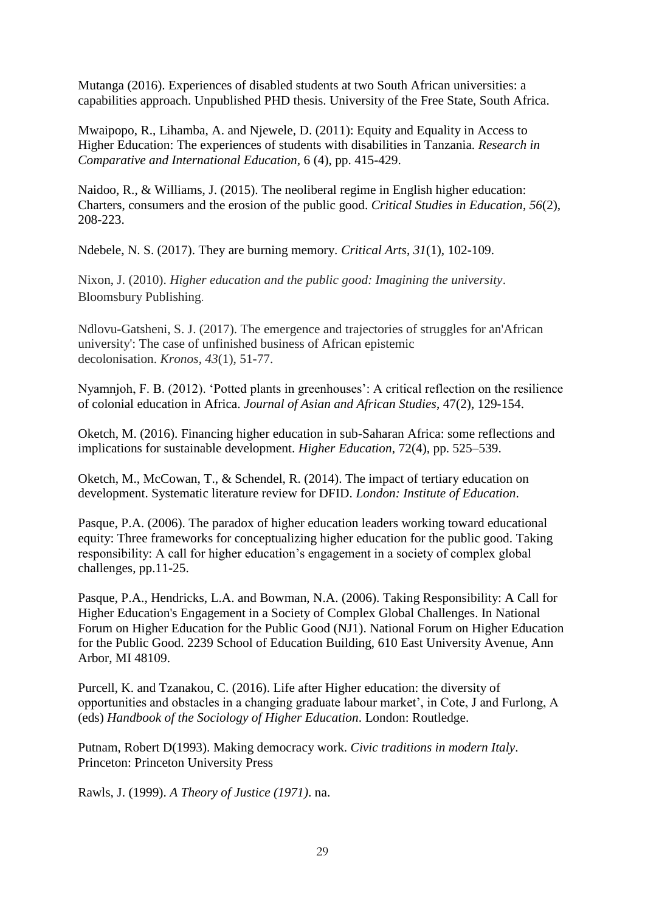Mutanga (2016). Experiences of disabled students at two South African universities: a capabilities approach. Unpublished PHD thesis. University of the Free State, South Africa.

Mwaipopo, R., Lihamba, A. and Njewele, D. (2011): Equity and Equality in Access to Higher Education: The experiences of students with disabilities in Tanzania. *Research in Comparative and International Education,* 6 (4), pp. 415-429.

Naidoo, R., & Williams, J. (2015). The neoliberal regime in English higher education: Charters, consumers and the erosion of the public good. *Critical Studies in Education*, *56*(2), 208-223.

Ndebele, N. S. (2017). They are burning memory. *Critical Arts*, *31*(1), 102-109.

Nixon, J. (2010). *Higher education and the public good: Imagining the university*. Bloomsbury Publishing.

Ndlovu-Gatsheni, S. J. (2017). The emergence and trajectories of struggles for an'African university': The case of unfinished business of African epistemic decolonisation. *Kronos*, *43*(1), 51-77.

Nyamnjoh, F. B. (2012). 'Potted plants in greenhouses': A critical reflection on the resilience of colonial education in Africa. *Journal of Asian and African Studies*, 47(2), 129-154.

Oketch, M. (2016). Financing higher education in sub-Saharan Africa: some reflections and implications for sustainable development. *Higher Education*, 72(4), pp. 525–539.

Oketch, M., McCowan, T., & Schendel, R. (2014). The impact of tertiary education on development. Systematic literature review for DFID. *London: Institute of Education*.

Pasque, P.A. (2006). The paradox of higher education leaders working toward educational equity: Three frameworks for conceptualizing higher education for the public good. Taking responsibility: A call for higher education's engagement in a society of complex global challenges, pp.11-25.

Pasque, P.A., Hendricks, L.A. and Bowman, N.A. (2006). Taking Responsibility: A Call for Higher Education's Engagement in a Society of Complex Global Challenges. In National Forum on Higher Education for the Public Good (NJ1). National Forum on Higher Education for the Public Good. 2239 School of Education Building, 610 East University Avenue, Ann Arbor, MI 48109.

Purcell, K. and Tzanakou, C. (2016). Life after Higher education: the diversity of opportunities and obstacles in a changing graduate labour market', in Cote, J and Furlong, A (eds) *Handbook of the Sociology of Higher Education*. London: Routledge.

Putnam, Robert D(1993). Making democracy work. *Civic traditions in modern Italy*. Princeton: Princeton University Press

Rawls, J. (1999). *A Theory of Justice (1971)*. na.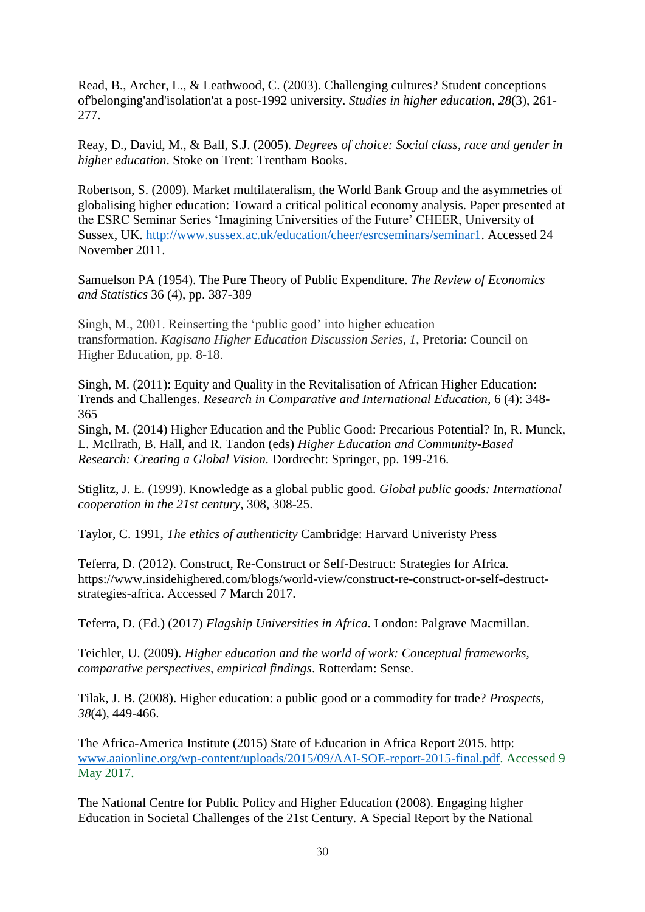Read, B., Archer, L., & Leathwood, C. (2003). Challenging cultures? Student conceptions of'belonging'and'isolation'at a post-1992 university. *Studies in higher education*, *28*(3), 261- 277.

Reay, D., David, M., & Ball, S.J. (2005). *Degrees of choice: Social class, race and gender in higher education*. Stoke on Trent: Trentham Books.

Robertson, S. (2009). Market multilateralism, the World Bank Group and the asymmetries of globalising higher education: Toward a critical political economy analysis. Paper presented at the ESRC Seminar Series 'Imagining Universities of the Future' CHEER, University of Sussex, UK. [http://www.sussex.ac.uk/education/cheer/esrcseminars/seminar1.](http://www.sussex.ac.uk/education/cheer/esrcseminars/seminar1) Accessed 24 November 2011.

Samuelson PA (1954). The Pure Theory of Public Expenditure. *The Review of Economics and Statistics* 36 (4), pp. 387-389

Singh, M., 2001. Reinserting the 'public good' into higher education transformation. *Kagisano Higher Education Discussion Series*, *1*, Pretoria: Council on Higher Education, pp. 8-18.

Singh, M. (2011): Equity and Quality in the Revitalisation of African Higher Education: Trends and Challenges. *Research in Comparative and International Education,* 6 (4): 348- 365

Singh, M. (2014) Higher Education and the Public Good: Precarious Potential? In, R. Munck, L. McIlrath, B. Hall, and R. Tandon (eds) *Higher Education and Community-Based Research: Creating a Global Vision.* Dordrecht: Springer, pp. 199-216.

Stiglitz, J. E. (1999). Knowledge as a global public good. *Global public goods: International cooperation in the 21st century*, 308, 308-25.

Taylor, C. 1991, *The ethics of authenticity* Cambridge: Harvard Univeristy Press

Teferra, D. (2012). Construct, Re-Construct or Self-Destruct: Strategies for Africa. [https://www.insidehighered.com/blogs/world-view/construct-re-construct-or-self-destruct](https://www.insidehighered.com/blogs/world-view/construct-re-construct-or-self-destruct-strategies-africa)[strategies-africa.](https://www.insidehighered.com/blogs/world-view/construct-re-construct-or-self-destruct-strategies-africa) Accessed 7 March 2017.

Teferra, D. (Ed.) (2017) *Flagship Universities in Africa*. London: Palgrave Macmillan.

Teichler, U. (2009). *Higher education and the world of work: Conceptual frameworks, comparative perspectives, empirical findings*. Rotterdam: Sense.

Tilak, J. B. (2008). Higher education: a public good or a commodity for trade? *Prospects*, *38*(4), 449-466.

The Africa-America Institute (2015) State of Education in Africa Report 2015. http: [www.aaionline.org/wp-content/uploads/2015/09/AAI-SOE-report-2015-final.pdf.](http://www.aaionline.org/wp-content/uploads/2015/09/AAI-SOE-report-2015-final.pdf) Accessed 9 May 2017.

The National Centre for Public Policy and Higher Education (2008). Engaging higher Education in Societal Challenges of the 21st Century. A Special Report by the National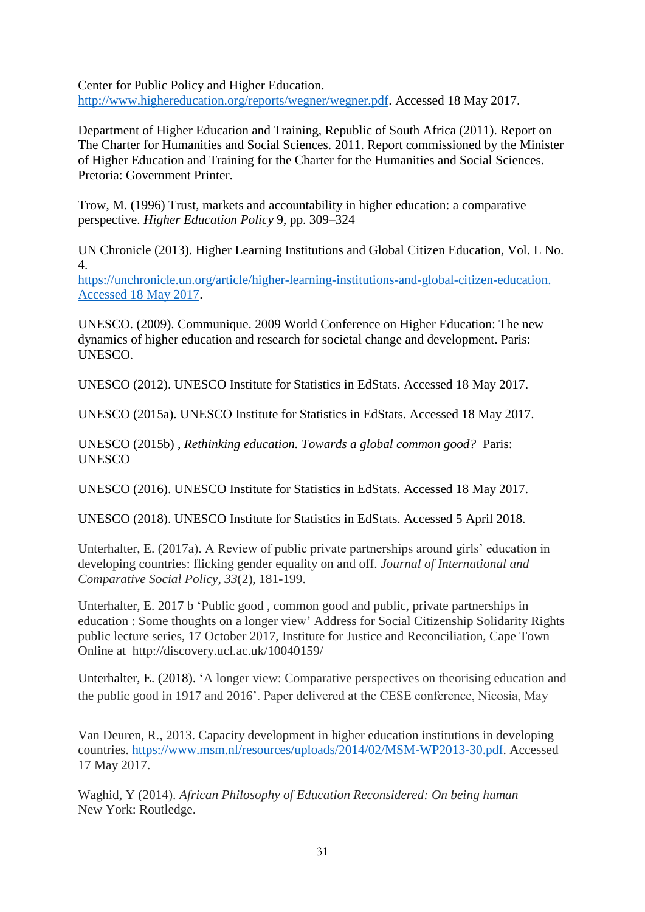Center for Public Policy and Higher Education. [http://www.highereducation.org/reports/wegner/wegner.pdf.](http://www.highereducation.org/reports/wegner/wegner.pdf) Accessed 18 May 2017.

Department of Higher Education and Training, Republic of South Africa (2011). Report on The Charter for Humanities and Social Sciences. 2011. Report commissioned by the Minister of Higher Education and Training for the Charter for the Humanities and Social Sciences. Pretoria: Government Printer.

Trow, M. (1996) Trust, markets and accountability in higher education: a comparative perspective. *Higher Education Policy* 9, pp. 309–324

UN Chronicle (2013). Higher Learning Institutions and Global Citizen Education, Vol. L No. 4.

[https://unchronicle.un.org/article/higher-learning-institutions-and-global-citizen-education.](https://unchronicle.un.org/article/higher-learning-institutions-and-global-citizen-education.%20Accessed%2018%20May%202017)  [Accessed 18 May 2017.](https://unchronicle.un.org/article/higher-learning-institutions-and-global-citizen-education.%20Accessed%2018%20May%202017)

UNESCO. (2009). Communique. 2009 World Conference on Higher Education: The new dynamics of higher education and research for societal change and development. Paris: UNESCO.

UNESCO (2012). UNESCO Institute for Statistics in EdStats. Accessed 18 May 2017.

UNESCO (2015a). UNESCO Institute for Statistics in EdStats. Accessed 18 May 2017.

UNESCO (2015b) , *Rethinking education. Towards a global common good?* Paris: UNESCO

UNESCO (2016). UNESCO Institute for Statistics in EdStats. Accessed 18 May 2017.

UNESCO (2018). UNESCO Institute for Statistics in EdStats. Accessed 5 April 2018.

Unterhalter, E. (2017a). A Review of public private partnerships around girls' education in developing countries: flicking gender equality on and off. *Journal of International and Comparative Social Policy*, *33*(2), 181-199.

Unterhalter, E. 2017 b 'Public good , common good and public, private partnerships in education : Some thoughts on a longer view' Address for Social Citizenship Solidarity Rights public lecture series, 17 October 2017, Institute for Justice and Reconciliation, Cape Town Online at http://discovery.ucl.ac.uk/10040159/

Unterhalter, E. (2018). 'A longer view: Comparative perspectives on theorising education and the public good in 1917 and 2016'. Paper delivered at the CESE conference, Nicosia, May

Van Deuren, R., 2013. Capacity development in higher education institutions in developing countries. [https://www.msm.nl/resources/uploads/2014/02/MSM-WP2013-30.pdf.](https://www.msm.nl/resources/uploads/2014/02/MSM-WP2013-30.pdf) Accessed 17 May 2017.

Waghid, Y (2014). *African Philosophy of Education Reconsidered: On being human* New York: Routledge.